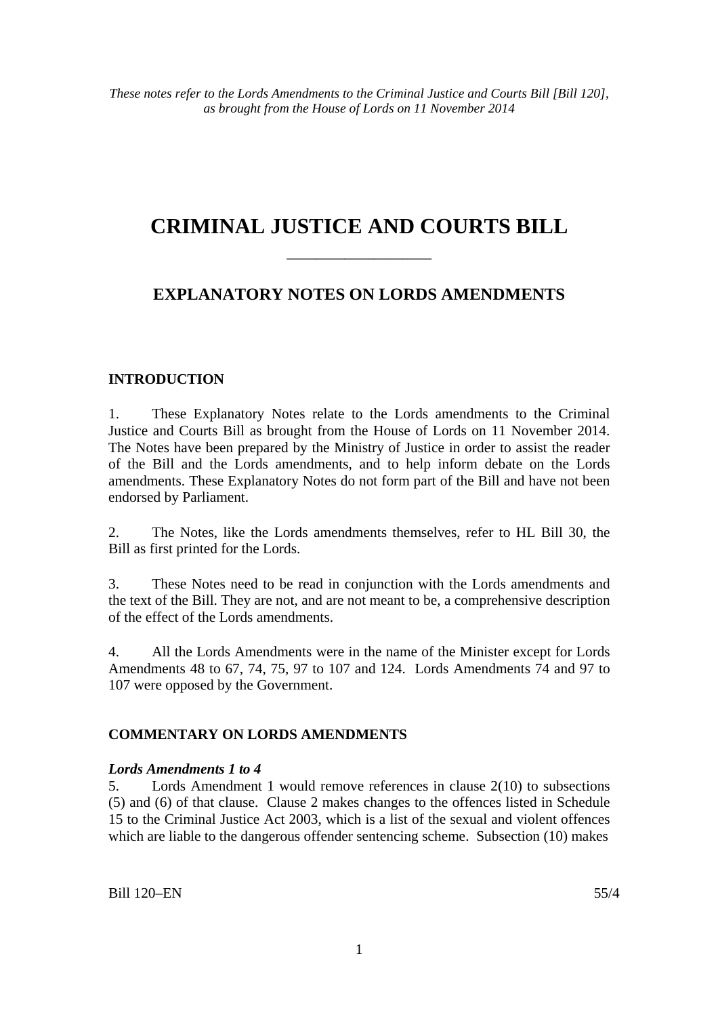# **CRIMINAL JUSTICE AND COURTS BILL**

# **EXPLANATORY NOTES ON LORDS AMENDMENTS**

——————————

## **INTRODUCTION**

1. These Explanatory Notes relate to the Lords amendments to the Criminal Justice and Courts Bill as brought from the House of Lords on 11 November 2014. The Notes have been prepared by the Ministry of Justice in order to assist the reader of the Bill and the Lords amendments, and to help inform debate on the Lords amendments. These Explanatory Notes do not form part of the Bill and have not been endorsed by Parliament.

2. The Notes, like the Lords amendments themselves, refer to HL Bill 30, the Bill as first printed for the Lords.

3. These Notes need to be read in conjunction with the Lords amendments and the text of the Bill. They are not, and are not meant to be, a comprehensive description of the effect of the Lords amendments.

4. All the Lords Amendments were in the name of the Minister except for Lords Amendments 48 to 67, 74, 75, 97 to 107 and 124. Lords Amendments 74 and 97 to 107 were opposed by the Government.

## **COMMENTARY ON LORDS AMENDMENTS**

#### *Lords Amendments 1 to 4*

5. Lords Amendment 1 would remove references in clause 2(10) to subsections (5) and (6) of that clause. Clause 2 makes changes to the offences listed in Schedule 15 to the Criminal Justice Act 2003, which is a list of the sexual and violent offences which are liable to the dangerous offender sentencing scheme. Subsection (10) makes

Bill 120–EN 55/4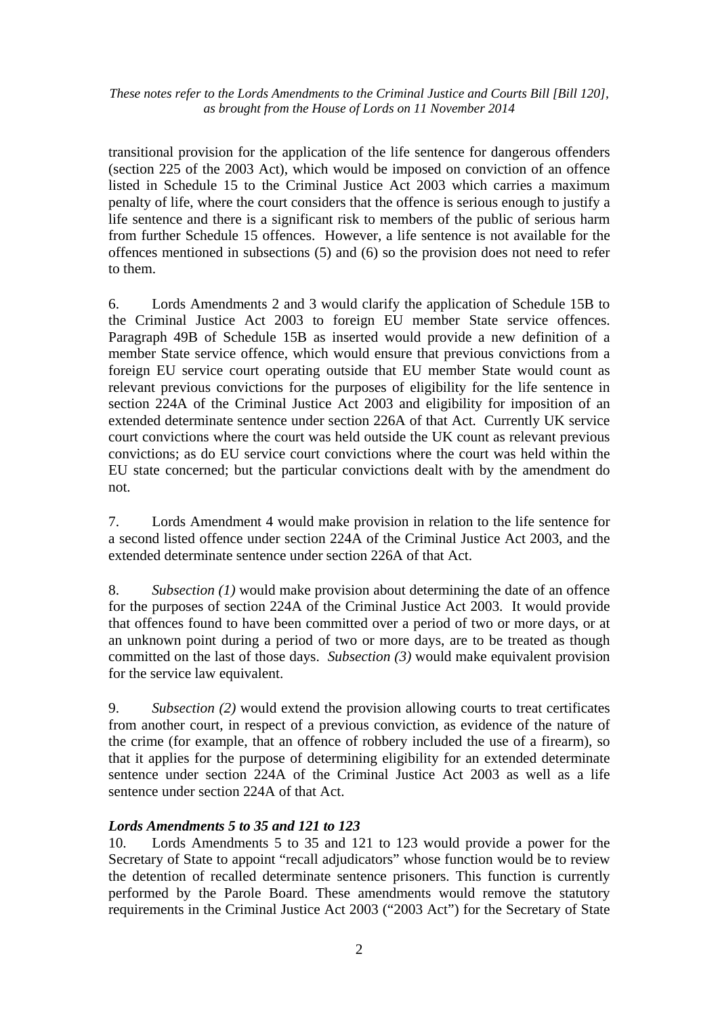transitional provision for the application of the life sentence for dangerous offenders (section 225 of the 2003 Act), which would be imposed on conviction of an offence listed in Schedule 15 to the Criminal Justice Act 2003 which carries a maximum penalty of life, where the court considers that the offence is serious enough to justify a life sentence and there is a significant risk to members of the public of serious harm from further Schedule 15 offences. However, a life sentence is not available for the offences mentioned in subsections (5) and (6) so the provision does not need to refer to them.

6. Lords Amendments 2 and 3 would clarify the application of Schedule 15B to the Criminal Justice Act 2003 to foreign EU member State service offences. Paragraph 49B of Schedule 15B as inserted would provide a new definition of a member State service offence, which would ensure that previous convictions from a foreign EU service court operating outside that EU member State would count as relevant previous convictions for the purposes of eligibility for the life sentence in section 224A of the Criminal Justice Act 2003 and eligibility for imposition of an extended determinate sentence under section 226A of that Act. Currently UK service court convictions where the court was held outside the UK count as relevant previous convictions; as do EU service court convictions where the court was held within the EU state concerned; but the particular convictions dealt with by the amendment do not.

7. Lords Amendment 4 would make provision in relation to the life sentence for a second listed offence under section 224A of the Criminal Justice Act 2003, and the extended determinate sentence under section 226A of that Act.

8. *Subsection (1)* would make provision about determining the date of an offence for the purposes of section 224A of the Criminal Justice Act 2003. It would provide that offences found to have been committed over a period of two or more days, or at an unknown point during a period of two or more days, are to be treated as though committed on the last of those days. *Subsection (3)* would make equivalent provision for the service law equivalent.

9. *Subsection (2)* would extend the provision allowing courts to treat certificates from another court, in respect of a previous conviction, as evidence of the nature of the crime (for example, that an offence of robbery included the use of a firearm), so that it applies for the purpose of determining eligibility for an extended determinate sentence under section 224A of the Criminal Justice Act 2003 as well as a life sentence under section 224A of that Act.

## *Lords Amendments 5 to 35 and 121 to 123*

10. Lords Amendments 5 to 35 and 121 to 123 would provide a power for the Secretary of State to appoint "recall adjudicators" whose function would be to review the detention of recalled determinate sentence prisoners. This function is currently performed by the Parole Board. These amendments would remove the statutory requirements in the Criminal Justice Act 2003 ("2003 Act") for the Secretary of State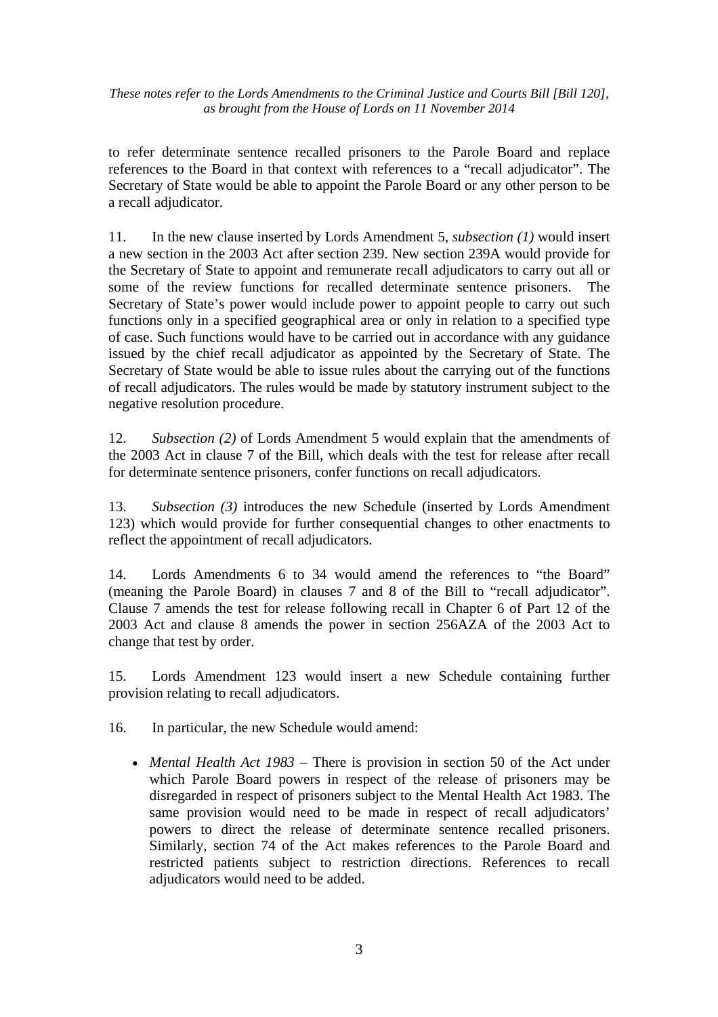to refer determinate sentence recalled prisoners to the Parole Board and replace references to the Board in that context with references to a "recall adjudicator". The Secretary of State would be able to appoint the Parole Board or any other person to be a recall adjudicator.

11. In the new clause inserted by Lords Amendment 5, *subsection (1)* would insert a new section in the 2003 Act after section 239. New section 239A would provide for the Secretary of State to appoint and remunerate recall adjudicators to carry out all or some of the review functions for recalled determinate sentence prisoners. The Secretary of State's power would include power to appoint people to carry out such functions only in a specified geographical area or only in relation to a specified type of case. Such functions would have to be carried out in accordance with any guidance issued by the chief recall adjudicator as appointed by the Secretary of State. The Secretary of State would be able to issue rules about the carrying out of the functions of recall adjudicators. The rules would be made by statutory instrument subject to the negative resolution procedure.

12. *Subsection (2)* of Lords Amendment 5 would explain that the amendments of the 2003 Act in clause 7 of the Bill, which deals with the test for release after recall for determinate sentence prisoners, confer functions on recall adjudicators.

13. *Subsection (3)* introduces the new Schedule (inserted by Lords Amendment 123) which would provide for further consequential changes to other enactments to reflect the appointment of recall adjudicators.

14. Lords Amendments 6 to 34 would amend the references to "the Board" (meaning the Parole Board) in clauses 7 and 8 of the Bill to "recall adjudicator". Clause 7 amends the test for release following recall in Chapter 6 of Part 12 of the 2003 Act and clause 8 amends the power in section 256AZA of the 2003 Act to change that test by order.

15. Lords Amendment 123 would insert a new Schedule containing further provision relating to recall adjudicators.

16. In particular, the new Schedule would amend:

• *Mental Health Act 1983* – There is provision in section 50 of the Act under which Parole Board powers in respect of the release of prisoners may be disregarded in respect of prisoners subject to the Mental Health Act 1983. The same provision would need to be made in respect of recall adjudicators' powers to direct the release of determinate sentence recalled prisoners. Similarly, section 74 of the Act makes references to the Parole Board and restricted patients subject to restriction directions. References to recall adjudicators would need to be added.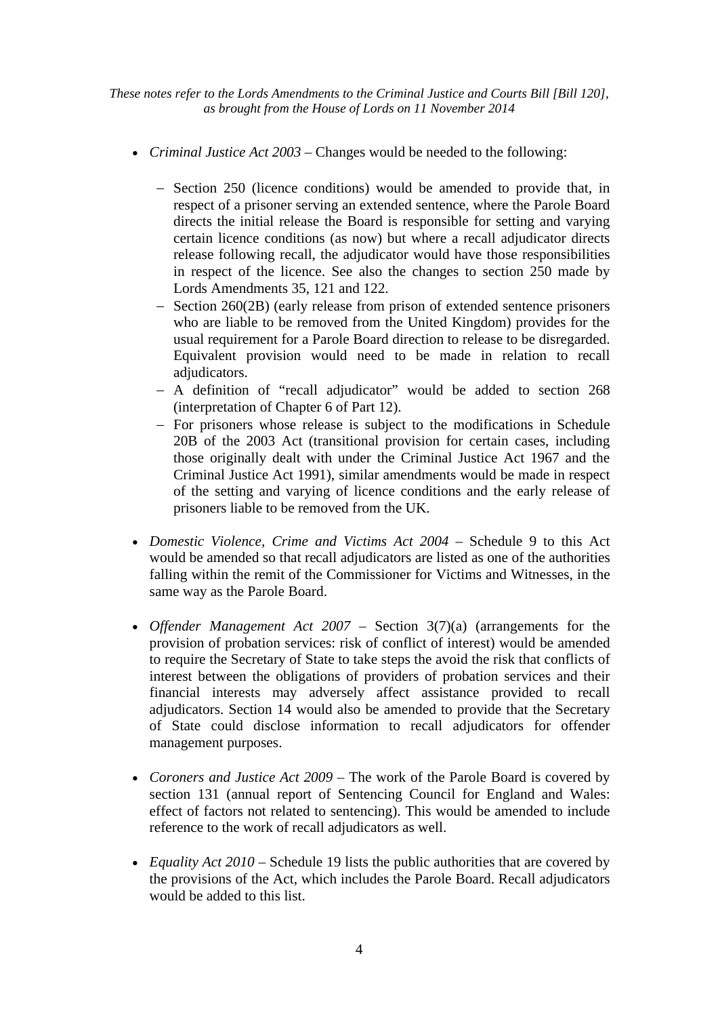- *Criminal Justice Act 2003* Changes would be needed to the following:
	- − Section 250 (licence conditions) would be amended to provide that, in respect of a prisoner serving an extended sentence, where the Parole Board directs the initial release the Board is responsible for setting and varying certain licence conditions (as now) but where a recall adjudicator directs release following recall, the adjudicator would have those responsibilities in respect of the licence. See also the changes to section 250 made by Lords Amendments 35, 121 and 122.
	- − Section 260(2B) (early release from prison of extended sentence prisoners who are liable to be removed from the United Kingdom) provides for the usual requirement for a Parole Board direction to release to be disregarded. Equivalent provision would need to be made in relation to recall adjudicators.
	- − A definition of "recall adjudicator" would be added to section 268 (interpretation of Chapter 6 of Part 12).
	- − For prisoners whose release is subject to the modifications in Schedule 20B of the 2003 Act (transitional provision for certain cases, including those originally dealt with under the Criminal Justice Act 1967 and the Criminal Justice Act 1991), similar amendments would be made in respect of the setting and varying of licence conditions and the early release of prisoners liable to be removed from the UK.
- *Domestic Violence, Crime and Victims Act 2004* Schedule 9 to this Act would be amended so that recall adjudicators are listed as one of the authorities falling within the remit of the Commissioner for Victims and Witnesses, in the same way as the Parole Board.
- *Offender Management Act 2007* Section 3(7)(a) (arrangements for the provision of probation services: risk of conflict of interest) would be amended to require the Secretary of State to take steps the avoid the risk that conflicts of interest between the obligations of providers of probation services and their financial interests may adversely affect assistance provided to recall adjudicators. Section 14 would also be amended to provide that the Secretary of State could disclose information to recall adjudicators for offender management purposes.
- *Coroners and Justice Act 2009* The work of the Parole Board is covered by section 131 (annual report of Sentencing Council for England and Wales: effect of factors not related to sentencing). This would be amended to include reference to the work of recall adjudicators as well.
- *Equality Act 2010* Schedule 19 lists the public authorities that are covered by the provisions of the Act, which includes the Parole Board. Recall adjudicators would be added to this list.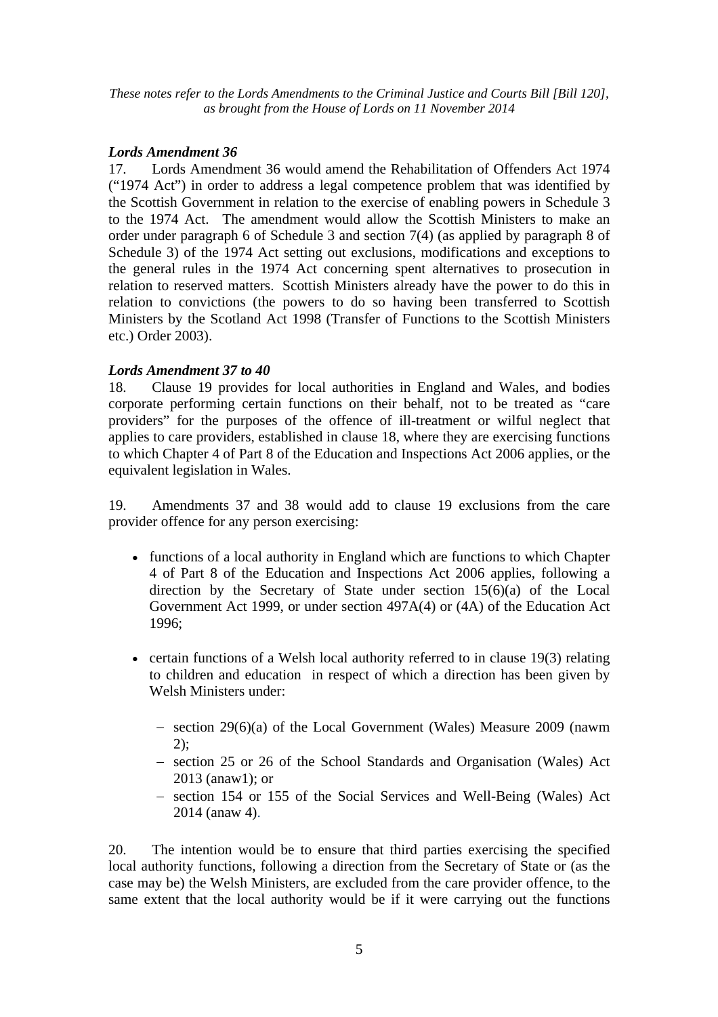#### *Lords Amendment 36*

17. Lords Amendment 36 would amend the Rehabilitation of Offenders Act 1974 ("1974 Act") in order to address a legal competence problem that was identified by the Scottish Government in relation to the exercise of enabling powers in Schedule 3 to the 1974 Act. The amendment would allow the Scottish Ministers to make an order under paragraph 6 of Schedule 3 and section 7(4) (as applied by paragraph 8 of Schedule 3) of the 1974 Act setting out exclusions, modifications and exceptions to the general rules in the 1974 Act concerning spent alternatives to prosecution in relation to reserved matters. Scottish Ministers already have the power to do this in relation to convictions (the powers to do so having been transferred to Scottish Ministers by the Scotland Act 1998 (Transfer of Functions to the Scottish Ministers etc.) Order 2003).

## *Lords Amendment 37 to 40*

18. Clause 19 provides for local authorities in England and Wales, and bodies corporate performing certain functions on their behalf, not to be treated as "care providers" for the purposes of the offence of ill-treatment or wilful neglect that applies to care providers, established in clause 18, where they are exercising functions to which Chapter 4 of Part 8 of the Education and Inspections Act 2006 applies, or the equivalent legislation in Wales.

19. Amendments 37 and 38 would add to clause 19 exclusions from the care provider offence for any person exercising:

- functions of a local authority in England which are functions to which Chapter 4 of Part 8 of the Education and Inspections Act 2006 applies, following a direction by the Secretary of State under section  $15(6)(a)$  of the Local Government Act 1999, or under section 497A(4) or (4A) of the Education Act 1996;
- certain functions of a Welsh local authority referred to in clause 19(3) relating to children and education in respect of which a direction has been given by Welsh Ministers under:
	- − section 29(6)(a) of the Local Government (Wales) Measure 2009 (nawm 2);
	- − section 25 or 26 of the School Standards and Organisation (Wales) Act 2013 (anaw1); or
	- − section 154 or 155 of the Social Services and Well-Being (Wales) Act 2014 (anaw 4).

20. The intention would be to ensure that third parties exercising the specified local authority functions, following a direction from the Secretary of State or (as the case may be) the Welsh Ministers, are excluded from the care provider offence, to the same extent that the local authority would be if it were carrying out the functions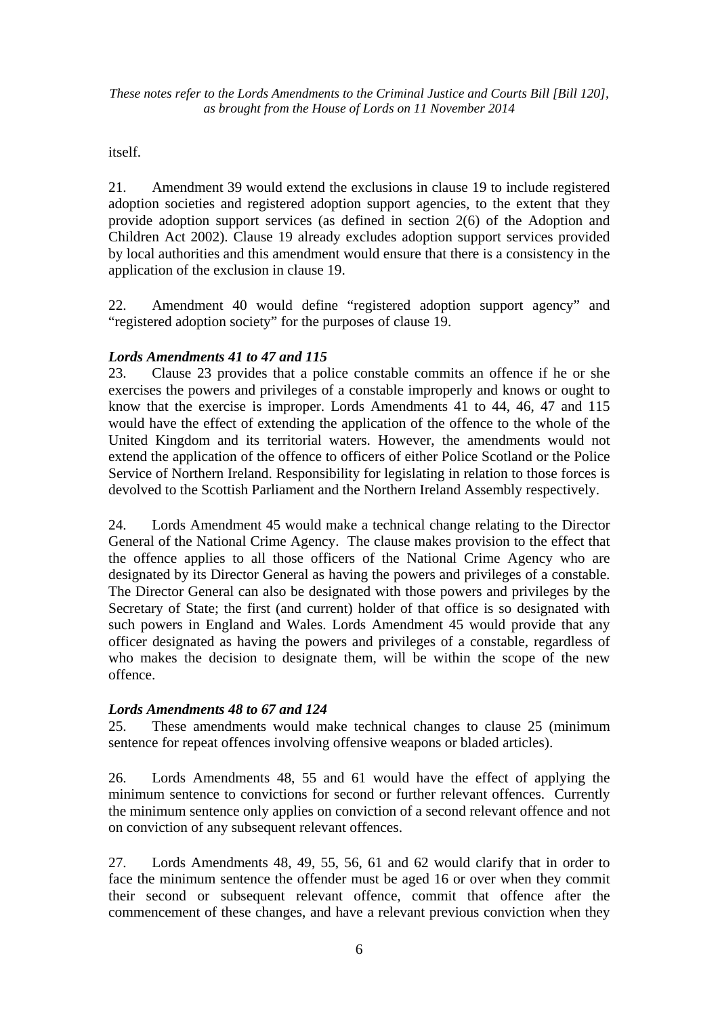itself.

21. Amendment 39 would extend the exclusions in clause 19 to include registered adoption societies and registered adoption support agencies, to the extent that they provide adoption support services (as defined in section 2(6) of the Adoption and Children Act 2002). Clause 19 already excludes adoption support services provided by local authorities and this amendment would ensure that there is a consistency in the application of the exclusion in clause 19.

22. Amendment 40 would define "registered adoption support agency" and "registered adoption society" for the purposes of clause 19.

## *Lords Amendments 41 to 47 and 115*

23. Clause 23 provides that a police constable commits an offence if he or she exercises the powers and privileges of a constable improperly and knows or ought to know that the exercise is improper. Lords Amendments 41 to 44, 46, 47 and 115 would have the effect of extending the application of the offence to the whole of the United Kingdom and its territorial waters. However, the amendments would not extend the application of the offence to officers of either Police Scotland or the Police Service of Northern Ireland. Responsibility for legislating in relation to those forces is devolved to the Scottish Parliament and the Northern Ireland Assembly respectively.

24. Lords Amendment 45 would make a technical change relating to the Director General of the National Crime Agency. The clause makes provision to the effect that the offence applies to all those officers of the National Crime Agency who are designated by its Director General as having the powers and privileges of a constable. The Director General can also be designated with those powers and privileges by the Secretary of State; the first (and current) holder of that office is so designated with such powers in England and Wales. Lords Amendment 45 would provide that any officer designated as having the powers and privileges of a constable, regardless of who makes the decision to designate them, will be within the scope of the new offence.

## *Lords Amendments 48 to 67 and 124*

25. These amendments would make technical changes to clause 25 (minimum sentence for repeat offences involving offensive weapons or bladed articles).

26. Lords Amendments 48, 55 and 61 would have the effect of applying the minimum sentence to convictions for second or further relevant offences. Currently the minimum sentence only applies on conviction of a second relevant offence and not on conviction of any subsequent relevant offences.

27. Lords Amendments 48, 49, 55, 56, 61 and 62 would clarify that in order to face the minimum sentence the offender must be aged 16 or over when they commit their second or subsequent relevant offence, commit that offence after the commencement of these changes, and have a relevant previous conviction when they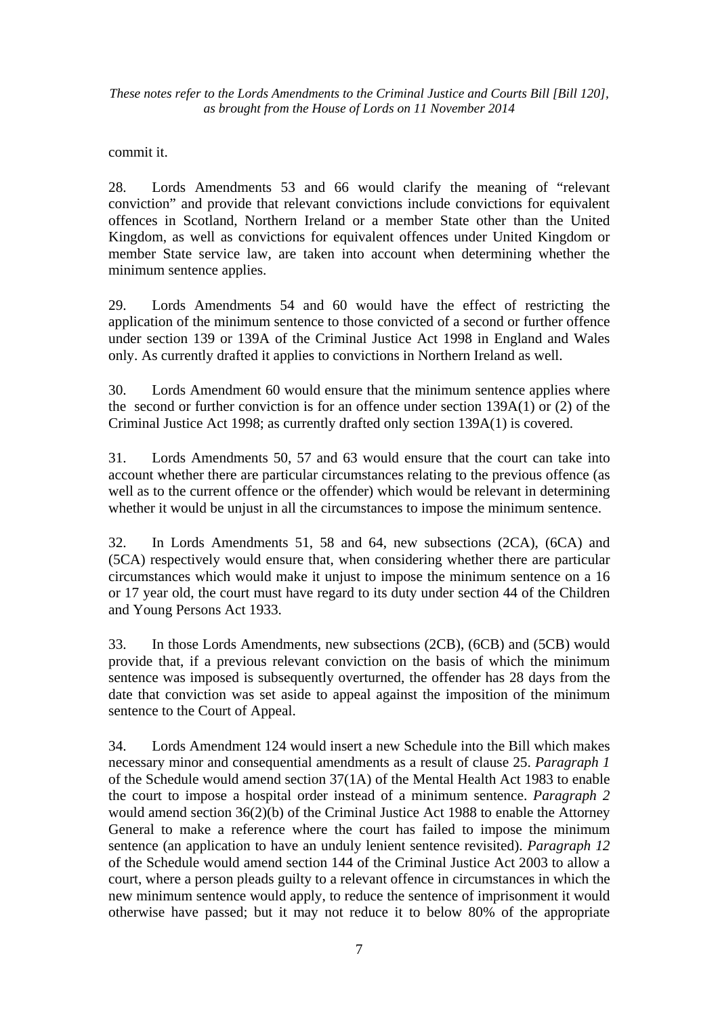commit it.

28. Lords Amendments 53 and 66 would clarify the meaning of "relevant conviction" and provide that relevant convictions include convictions for equivalent offences in Scotland, Northern Ireland or a member State other than the United Kingdom, as well as convictions for equivalent offences under United Kingdom or member State service law, are taken into account when determining whether the minimum sentence applies.

29. Lords Amendments 54 and 60 would have the effect of restricting the application of the minimum sentence to those convicted of a second or further offence under section 139 or 139A of the Criminal Justice Act 1998 in England and Wales only. As currently drafted it applies to convictions in Northern Ireland as well.

30. Lords Amendment 60 would ensure that the minimum sentence applies where the second or further conviction is for an offence under section 139A(1) or (2) of the Criminal Justice Act 1998; as currently drafted only section 139A(1) is covered.

31. Lords Amendments 50, 57 and 63 would ensure that the court can take into account whether there are particular circumstances relating to the previous offence (as well as to the current offence or the offender) which would be relevant in determining whether it would be unjust in all the circumstances to impose the minimum sentence.

32. In Lords Amendments 51, 58 and 64, new subsections (2CA), (6CA) and (5CA) respectively would ensure that, when considering whether there are particular circumstances which would make it unjust to impose the minimum sentence on a 16 or 17 year old, the court must have regard to its duty under section 44 of the Children and Young Persons Act 1933.

33. In those Lords Amendments, new subsections (2CB), (6CB) and (5CB) would provide that, if a previous relevant conviction on the basis of which the minimum sentence was imposed is subsequently overturned, the offender has 28 days from the date that conviction was set aside to appeal against the imposition of the minimum sentence to the Court of Appeal.

34. Lords Amendment 124 would insert a new Schedule into the Bill which makes necessary minor and consequential amendments as a result of clause 25. *Paragraph 1* of the Schedule would amend section 37(1A) of the Mental Health Act 1983 to enable the court to impose a hospital order instead of a minimum sentence. *Paragraph 2*  would amend section 36(2)(b) of the Criminal Justice Act 1988 to enable the Attorney General to make a reference where the court has failed to impose the minimum sentence (an application to have an unduly lenient sentence revisited). *Paragraph 12* of the Schedule would amend section 144 of the Criminal Justice Act 2003 to allow a court, where a person pleads guilty to a relevant offence in circumstances in which the new minimum sentence would apply, to reduce the sentence of imprisonment it would otherwise have passed; but it may not reduce it to below 80% of the appropriate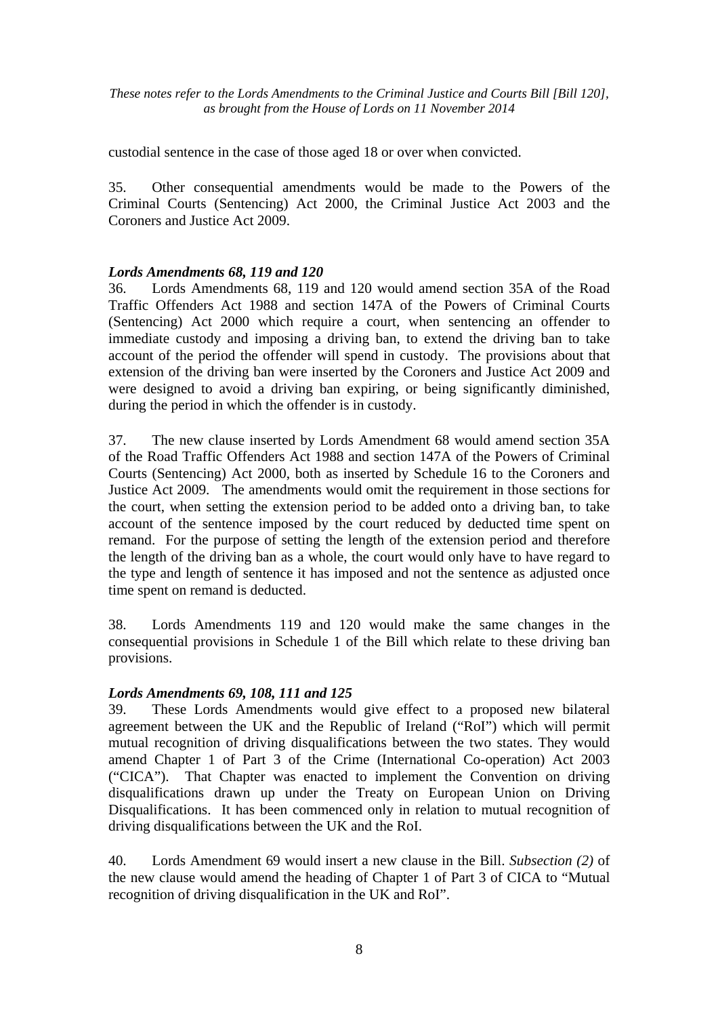custodial sentence in the case of those aged 18 or over when convicted.

35. Other consequential amendments would be made to the Powers of the Criminal Courts (Sentencing) Act 2000, the Criminal Justice Act 2003 and the Coroners and Justice Act 2009.

## *Lords Amendments 68, 119 and 120*

36. Lords Amendments 68, 119 and 120 would amend section 35A of the Road Traffic Offenders Act 1988 and section 147A of the Powers of Criminal Courts (Sentencing) Act 2000 which require a court, when sentencing an offender to immediate custody and imposing a driving ban, to extend the driving ban to take account of the period the offender will spend in custody. The provisions about that extension of the driving ban were inserted by the Coroners and Justice Act 2009 and were designed to avoid a driving ban expiring, or being significantly diminished, during the period in which the offender is in custody.

37. The new clause inserted by Lords Amendment 68 would amend section 35A of the Road Traffic Offenders Act 1988 and section 147A of the Powers of Criminal Courts (Sentencing) Act 2000, both as inserted by Schedule 16 to the Coroners and Justice Act 2009. The amendments would omit the requirement in those sections for the court, when setting the extension period to be added onto a driving ban, to take account of the sentence imposed by the court reduced by deducted time spent on remand. For the purpose of setting the length of the extension period and therefore the length of the driving ban as a whole, the court would only have to have regard to the type and length of sentence it has imposed and not the sentence as adjusted once time spent on remand is deducted.

38. Lords Amendments 119 and 120 would make the same changes in the consequential provisions in Schedule 1 of the Bill which relate to these driving ban provisions.

## *Lords Amendments 69, 108, 111 and 125*

39. These Lords Amendments would give effect to a proposed new bilateral agreement between the UK and the Republic of Ireland ("RoI") which will permit mutual recognition of driving disqualifications between the two states. They would amend Chapter 1 of Part 3 of the Crime (International Co-operation) Act 2003 ("CICA"). That Chapter was enacted to implement the Convention on driving disqualifications drawn up under the Treaty on European Union on Driving Disqualifications. It has been commenced only in relation to mutual recognition of driving disqualifications between the UK and the RoI.

40. Lords Amendment 69 would insert a new clause in the Bill. *Subsection (2)* of the new clause would amend the heading of Chapter 1 of Part 3 of CICA to "Mutual recognition of driving disqualification in the UK and RoI".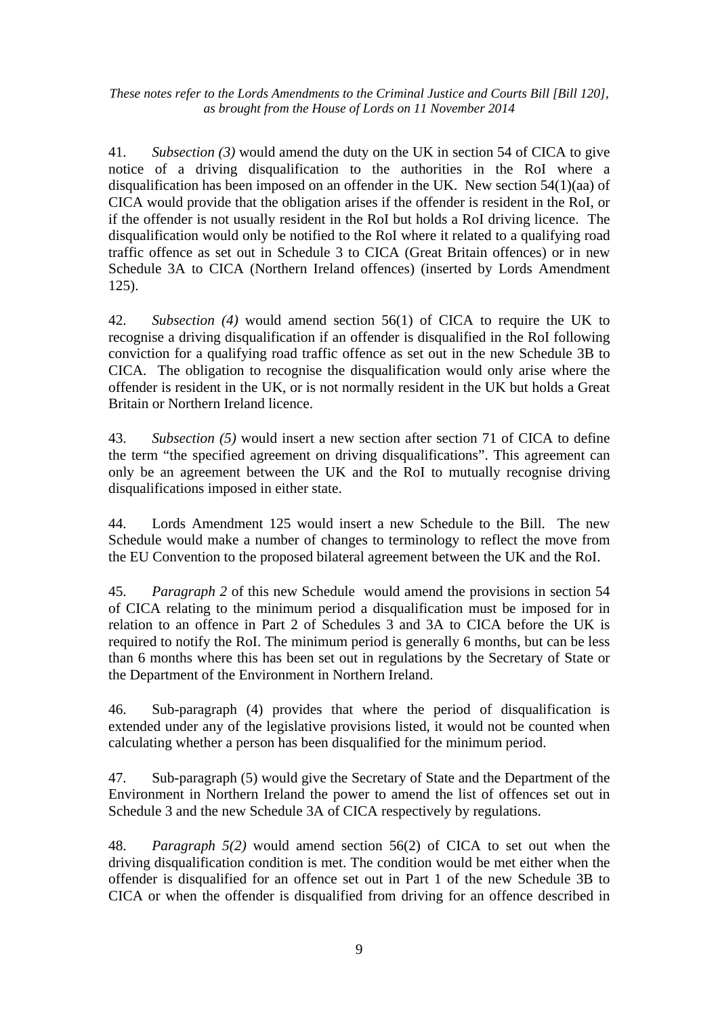41. *Subsection (3)* would amend the duty on the UK in section 54 of CICA to give notice of a driving disqualification to the authorities in the RoI where a disqualification has been imposed on an offender in the UK. New section 54(1)(aa) of CICA would provide that the obligation arises if the offender is resident in the RoI, or if the offender is not usually resident in the RoI but holds a RoI driving licence. The disqualification would only be notified to the RoI where it related to a qualifying road traffic offence as set out in Schedule 3 to CICA (Great Britain offences) or in new Schedule 3A to CICA (Northern Ireland offences) (inserted by Lords Amendment 125).

42. *Subsection (4)* would amend section 56(1) of CICA to require the UK to recognise a driving disqualification if an offender is disqualified in the RoI following conviction for a qualifying road traffic offence as set out in the new Schedule 3B to CICA. The obligation to recognise the disqualification would only arise where the offender is resident in the UK, or is not normally resident in the UK but holds a Great Britain or Northern Ireland licence.

43. *Subsection (5)* would insert a new section after section 71 of CICA to define the term "the specified agreement on driving disqualifications". This agreement can only be an agreement between the UK and the RoI to mutually recognise driving disqualifications imposed in either state.

44. Lords Amendment 125 would insert a new Schedule to the Bill. The new Schedule would make a number of changes to terminology to reflect the move from the EU Convention to the proposed bilateral agreement between the UK and the RoI.

45. *Paragraph 2* of this new Schedule would amend the provisions in section 54 of CICA relating to the minimum period a disqualification must be imposed for in relation to an offence in Part 2 of Schedules 3 and 3A to CICA before the UK is required to notify the RoI. The minimum period is generally 6 months, but can be less than 6 months where this has been set out in regulations by the Secretary of State or the Department of the Environment in Northern Ireland.

46. Sub-paragraph (4) provides that where the period of disqualification is extended under any of the legislative provisions listed, it would not be counted when calculating whether a person has been disqualified for the minimum period.

47. Sub-paragraph (5) would give the Secretary of State and the Department of the Environment in Northern Ireland the power to amend the list of offences set out in Schedule 3 and the new Schedule 3A of CICA respectively by regulations.

48. *Paragraph 5(2)* would amend section 56(2) of CICA to set out when the driving disqualification condition is met. The condition would be met either when the offender is disqualified for an offence set out in Part 1 of the new Schedule 3B to CICA or when the offender is disqualified from driving for an offence described in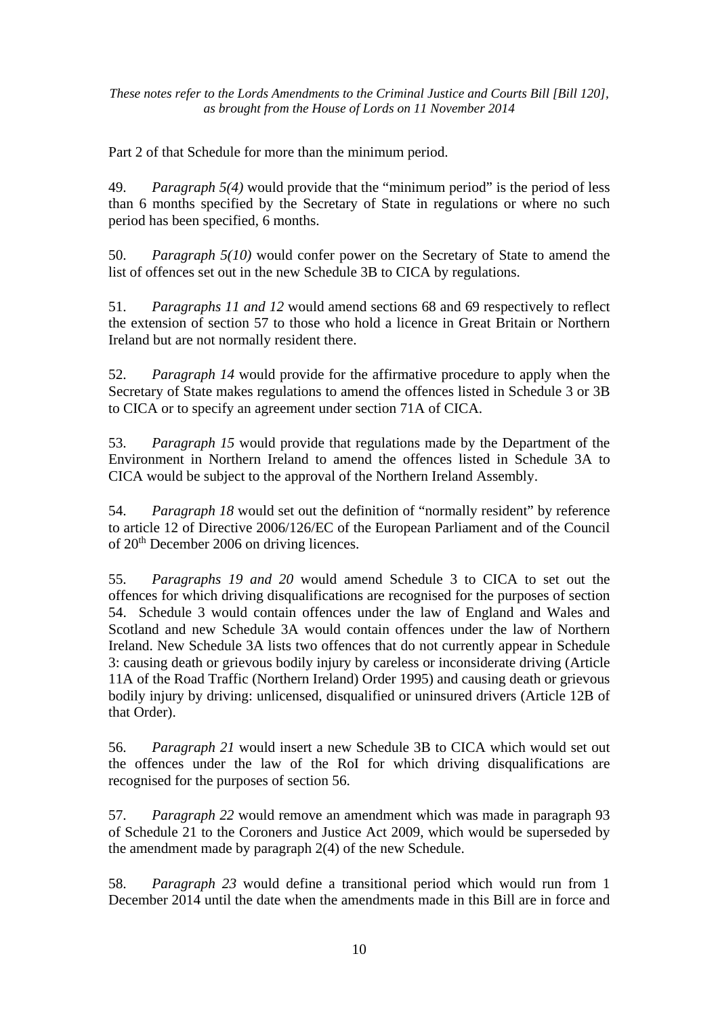Part 2 of that Schedule for more than the minimum period.

49. *Paragraph 5(4)* would provide that the "minimum period" is the period of less than 6 months specified by the Secretary of State in regulations or where no such period has been specified, 6 months.

50. *Paragraph 5(10)* would confer power on the Secretary of State to amend the list of offences set out in the new Schedule 3B to CICA by regulations.

51. *Paragraphs 11 and 12* would amend sections 68 and 69 respectively to reflect the extension of section 57 to those who hold a licence in Great Britain or Northern Ireland but are not normally resident there.

52. *Paragraph 14* would provide for the affirmative procedure to apply when the Secretary of State makes regulations to amend the offences listed in Schedule 3 or 3B to CICA or to specify an agreement under section 71A of CICA.

53. *Paragraph 15* would provide that regulations made by the Department of the Environment in Northern Ireland to amend the offences listed in Schedule 3A to CICA would be subject to the approval of the Northern Ireland Assembly.

54. *Paragraph 18* would set out the definition of "normally resident" by reference to article 12 of Directive 2006/126/EC of the European Parliament and of the Council of 20th December 2006 on driving licences.

55. *Paragraphs 19 and 20* would amend Schedule 3 to CICA to set out the offences for which driving disqualifications are recognised for the purposes of section 54. Schedule 3 would contain offences under the law of England and Wales and Scotland and new Schedule 3A would contain offences under the law of Northern Ireland. New Schedule 3A lists two offences that do not currently appear in Schedule 3: causing death or grievous bodily injury by careless or inconsiderate driving (Article 11A of the Road Traffic (Northern Ireland) Order 1995) and causing death or grievous bodily injury by driving: unlicensed, disqualified or uninsured drivers (Article 12B of that Order).

56. *Paragraph 21* would insert a new Schedule 3B to CICA which would set out the offences under the law of the RoI for which driving disqualifications are recognised for the purposes of section 56.

57. *Paragraph 22* would remove an amendment which was made in paragraph 93 of Schedule 21 to the Coroners and Justice Act 2009, which would be superseded by the amendment made by paragraph 2(4) of the new Schedule.

58. *Paragraph 23* would define a transitional period which would run from 1 December 2014 until the date when the amendments made in this Bill are in force and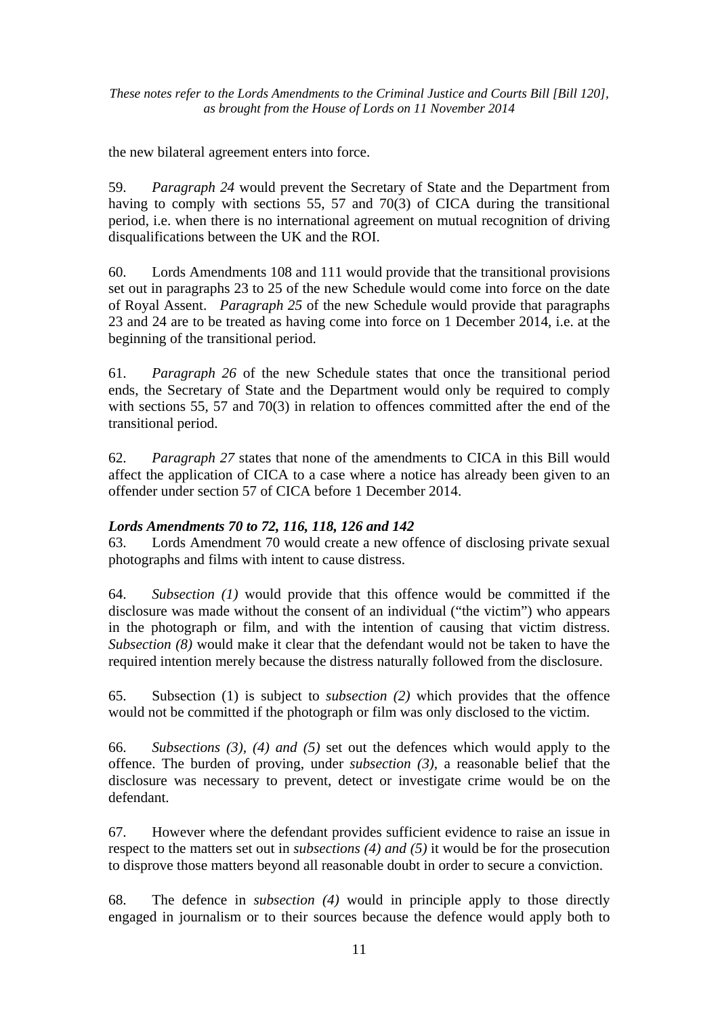the new bilateral agreement enters into force.

59. *Paragraph 24* would prevent the Secretary of State and the Department from having to comply with sections 55, 57 and 70(3) of CICA during the transitional period, i.e. when there is no international agreement on mutual recognition of driving disqualifications between the UK and the ROI.

60. Lords Amendments 108 and 111 would provide that the transitional provisions set out in paragraphs 23 to 25 of the new Schedule would come into force on the date of Royal Assent. *Paragraph 25* of the new Schedule would provide that paragraphs 23 and 24 are to be treated as having come into force on 1 December 2014, i.e. at the beginning of the transitional period.

61. *Paragraph 26* of the new Schedule states that once the transitional period ends, the Secretary of State and the Department would only be required to comply with sections 55, 57 and 70(3) in relation to offences committed after the end of the transitional period.

62. *Paragraph 27* states that none of the amendments to CICA in this Bill would affect the application of CICA to a case where a notice has already been given to an offender under section 57 of CICA before 1 December 2014.

## *Lords Amendments 70 to 72, 116, 118, 126 and 142*

63. Lords Amendment 70 would create a new offence of disclosing private sexual photographs and films with intent to cause distress.

64. *Subsection (1)* would provide that this offence would be committed if the disclosure was made without the consent of an individual ("the victim") who appears in the photograph or film, and with the intention of causing that victim distress. *Subsection (8)* would make it clear that the defendant would not be taken to have the required intention merely because the distress naturally followed from the disclosure.

65. Subsection (1) is subject to *subsection (2)* which provides that the offence would not be committed if the photograph or film was only disclosed to the victim.

66. *Subsections (3), (4) and (5)* set out the defences which would apply to the offence. The burden of proving, under *subsection (3),* a reasonable belief that the disclosure was necessary to prevent, detect or investigate crime would be on the defendant.

67. However where the defendant provides sufficient evidence to raise an issue in respect to the matters set out in *subsections (4) and (5)* it would be for the prosecution to disprove those matters beyond all reasonable doubt in order to secure a conviction.

68. The defence in *subsection (4)* would in principle apply to those directly engaged in journalism or to their sources because the defence would apply both to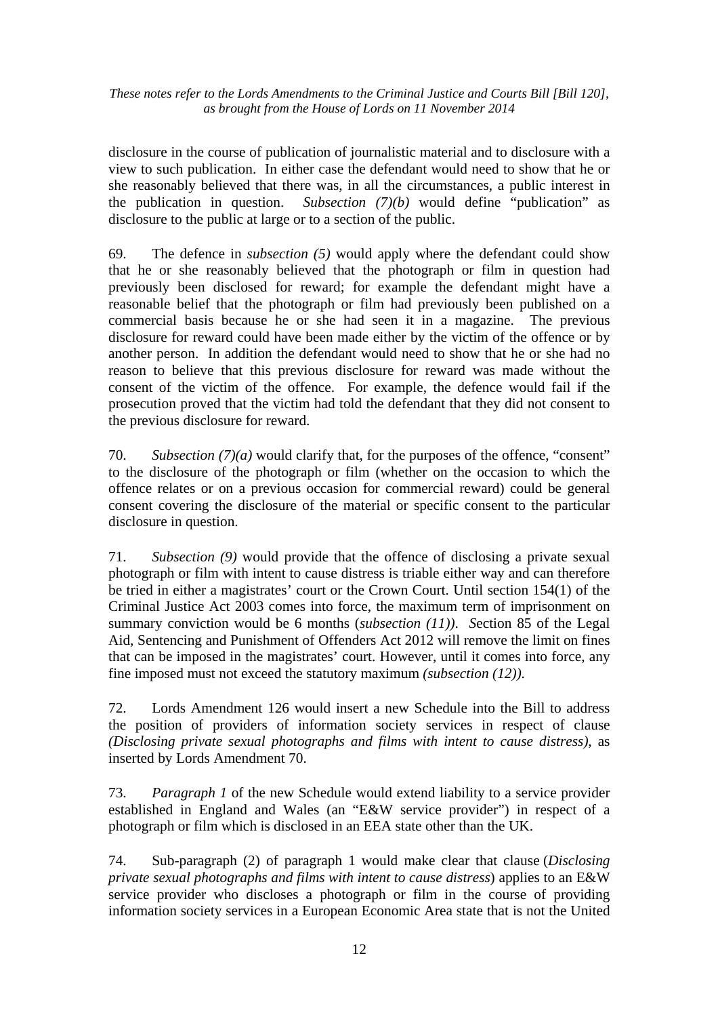disclosure in the course of publication of journalistic material and to disclosure with a view to such publication. In either case the defendant would need to show that he or she reasonably believed that there was, in all the circumstances, a public interest in the publication in question. *Subsection (7)(b)* would define "publication" as disclosure to the public at large or to a section of the public.

69. The defence in *subsection (5)* would apply where the defendant could show that he or she reasonably believed that the photograph or film in question had previously been disclosed for reward; for example the defendant might have a reasonable belief that the photograph or film had previously been published on a commercial basis because he or she had seen it in a magazine. The previous disclosure for reward could have been made either by the victim of the offence or by another person. In addition the defendant would need to show that he or she had no reason to believe that this previous disclosure for reward was made without the consent of the victim of the offence. For example, the defence would fail if the prosecution proved that the victim had told the defendant that they did not consent to the previous disclosure for reward.

70. *Subsection (7)(a)* would clarify that, for the purposes of the offence, "consent" to the disclosure of the photograph or film (whether on the occasion to which the offence relates or on a previous occasion for commercial reward) could be general consent covering the disclosure of the material or specific consent to the particular disclosure in question.

71. *Subsection (9)* would provide that the offence of disclosing a private sexual photograph or film with intent to cause distress is triable either way and can therefore be tried in either a magistrates' court or the Crown Court. Until section 154(1) of the Criminal Justice Act 2003 comes into force, the maximum term of imprisonment on summary conviction would be 6 months (*subsection (11))*. *S*ection 85 of the Legal Aid, Sentencing and Punishment of Offenders Act 2012 will remove the limit on fines that can be imposed in the magistrates' court. However, until it comes into force, any fine imposed must not exceed the statutory maximum *(subsection (12))*.

72. Lords Amendment 126 would insert a new Schedule into the Bill to address the position of providers of information society services in respect of clause *(Disclosing private sexual photographs and films with intent to cause distress)*, as inserted by Lords Amendment 70.

73. *Paragraph 1* of the new Schedule would extend liability to a service provider established in England and Wales (an "E&W service provider") in respect of a photograph or film which is disclosed in an EEA state other than the UK.

74. Sub-paragraph (2) of paragraph 1 would make clear that clause (*Disclosing private sexual photographs and films with intent to cause distress*) applies to an E&W service provider who discloses a photograph or film in the course of providing information society services in a European Economic Area state that is not the United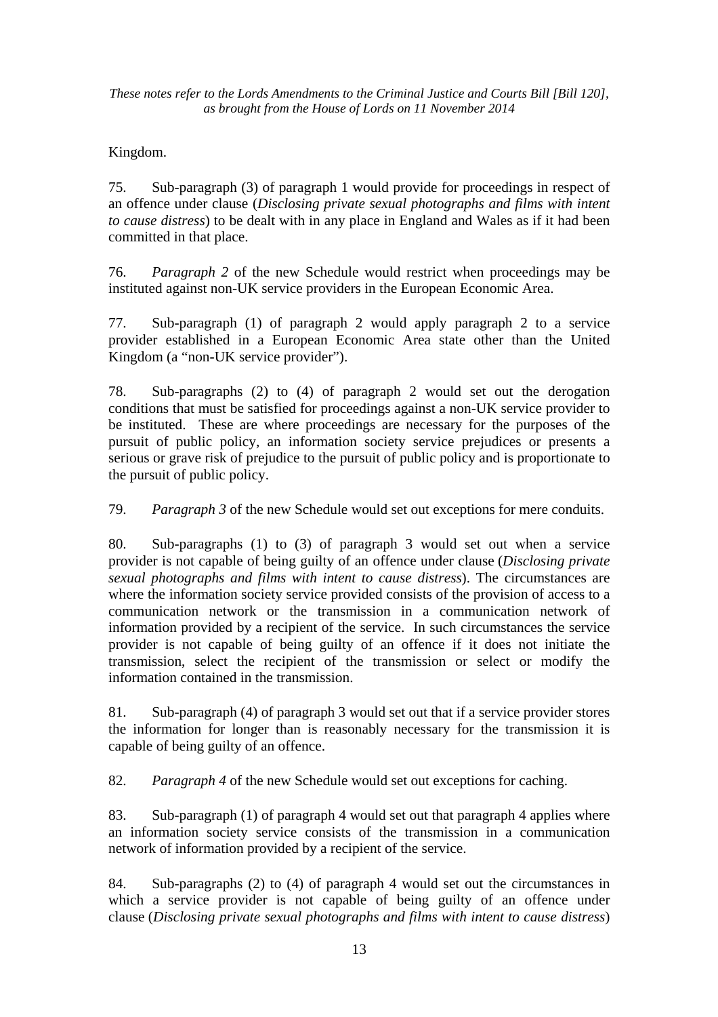## Kingdom.

75. Sub-paragraph (3) of paragraph 1 would provide for proceedings in respect of an offence under clause (*Disclosing private sexual photographs and films with intent to cause distress*) to be dealt with in any place in England and Wales as if it had been committed in that place.

76. *Paragraph 2* of the new Schedule would restrict when proceedings may be instituted against non-UK service providers in the European Economic Area.

77. Sub-paragraph (1) of paragraph 2 would apply paragraph 2 to a service provider established in a European Economic Area state other than the United Kingdom (a "non-UK service provider").

78. Sub-paragraphs (2) to (4) of paragraph 2 would set out the derogation conditions that must be satisfied for proceedings against a non-UK service provider to be instituted. These are where proceedings are necessary for the purposes of the pursuit of public policy, an information society service prejudices or presents a serious or grave risk of prejudice to the pursuit of public policy and is proportionate to the pursuit of public policy.

79. *Paragraph 3* of the new Schedule would set out exceptions for mere conduits.

80. Sub-paragraphs (1) to (3) of paragraph 3 would set out when a service provider is not capable of being guilty of an offence under clause (*Disclosing private sexual photographs and films with intent to cause distress*). The circumstances are where the information society service provided consists of the provision of access to a communication network or the transmission in a communication network of information provided by a recipient of the service. In such circumstances the service provider is not capable of being guilty of an offence if it does not initiate the transmission, select the recipient of the transmission or select or modify the information contained in the transmission.

81. Sub-paragraph (4) of paragraph 3 would set out that if a service provider stores the information for longer than is reasonably necessary for the transmission it is capable of being guilty of an offence.

82. *Paragraph 4* of the new Schedule would set out exceptions for caching.

83. Sub-paragraph (1) of paragraph 4 would set out that paragraph 4 applies where an information society service consists of the transmission in a communication network of information provided by a recipient of the service.

84. Sub-paragraphs (2) to (4) of paragraph 4 would set out the circumstances in which a service provider is not capable of being guilty of an offence under clause (*Disclosing private sexual photographs and films with intent to cause distress*)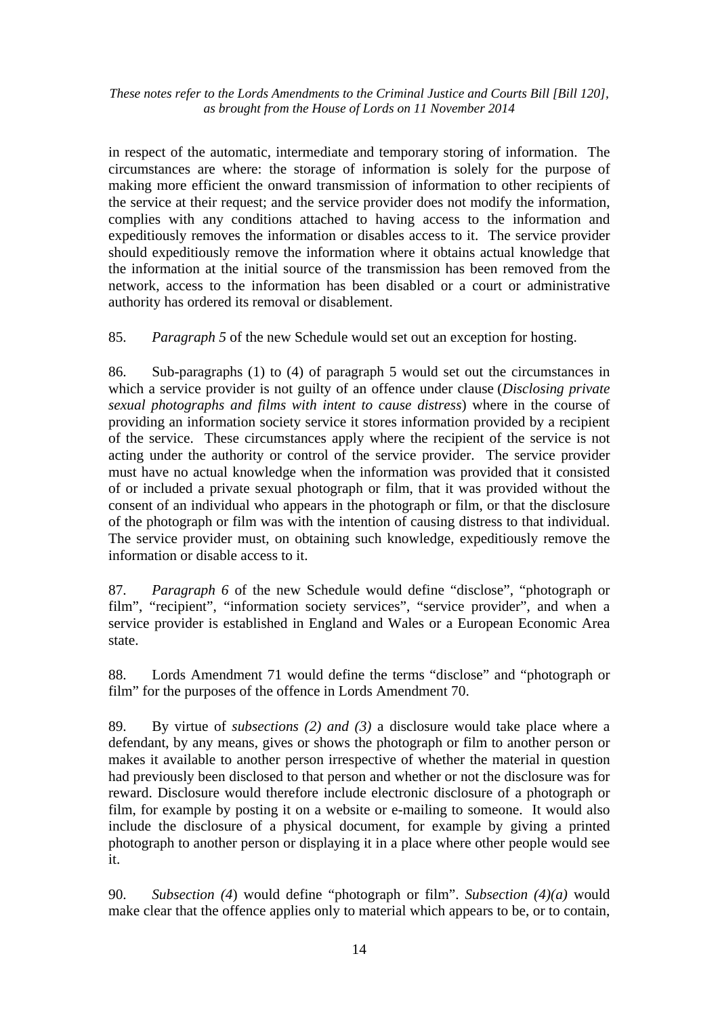in respect of the automatic, intermediate and temporary storing of information. The circumstances are where: the storage of information is solely for the purpose of making more efficient the onward transmission of information to other recipients of the service at their request; and the service provider does not modify the information, complies with any conditions attached to having access to the information and expeditiously removes the information or disables access to it. The service provider should expeditiously remove the information where it obtains actual knowledge that the information at the initial source of the transmission has been removed from the network, access to the information has been disabled or a court or administrative authority has ordered its removal or disablement.

85. *Paragraph 5* of the new Schedule would set out an exception for hosting.

86. Sub-paragraphs (1) to (4) of paragraph 5 would set out the circumstances in which a service provider is not guilty of an offence under clause (*Disclosing private sexual photographs and films with intent to cause distress*) where in the course of providing an information society service it stores information provided by a recipient of the service. These circumstances apply where the recipient of the service is not acting under the authority or control of the service provider. The service provider must have no actual knowledge when the information was provided that it consisted of or included a private sexual photograph or film, that it was provided without the consent of an individual who appears in the photograph or film, or that the disclosure of the photograph or film was with the intention of causing distress to that individual. The service provider must, on obtaining such knowledge, expeditiously remove the information or disable access to it.

87. *Paragraph 6* of the new Schedule would define "disclose", "photograph or film", "recipient", "information society services", "service provider", and when a service provider is established in England and Wales or a European Economic Area state.

88. Lords Amendment 71 would define the terms "disclose" and "photograph or film" for the purposes of the offence in Lords Amendment 70.

89. By virtue of *subsections (2) and (3)* a disclosure would take place where a defendant, by any means, gives or shows the photograph or film to another person or makes it available to another person irrespective of whether the material in question had previously been disclosed to that person and whether or not the disclosure was for reward. Disclosure would therefore include electronic disclosure of a photograph or film, for example by posting it on a website or e-mailing to someone. It would also include the disclosure of a physical document, for example by giving a printed photograph to another person or displaying it in a place where other people would see it.

90. *Subsection (4*) would define "photograph or film". *Subsection (4)(a)* would make clear that the offence applies only to material which appears to be, or to contain,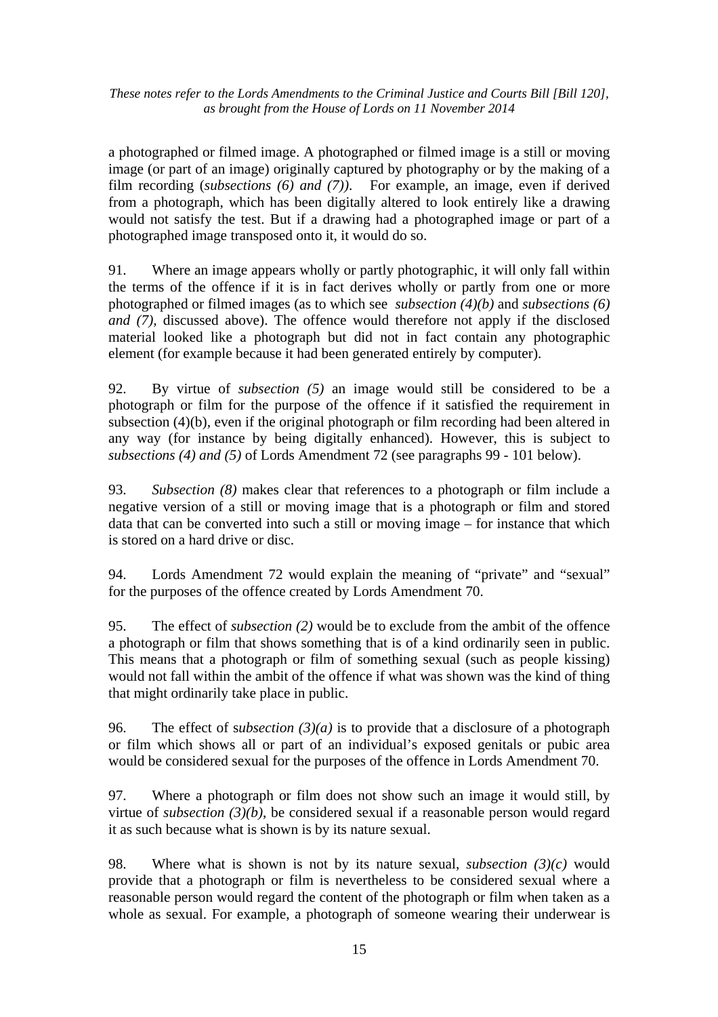a photographed or filmed image. A photographed or filmed image is a still or moving image (or part of an image) originally captured by photography or by the making of a film recording (*subsections (6) and (7))*. For example, an image, even if derived from a photograph, which has been digitally altered to look entirely like a drawing would not satisfy the test. But if a drawing had a photographed image or part of a photographed image transposed onto it, it would do so.

91. Where an image appears wholly or partly photographic, it will only fall within the terms of the offence if it is in fact derives wholly or partly from one or more photographed or filmed images (as to which see *subsection (4)(b)* and *subsections (6) and (7),* discussed above). The offence would therefore not apply if the disclosed material looked like a photograph but did not in fact contain any photographic element (for example because it had been generated entirely by computer).

92. By virtue of *subsection (5)* an image would still be considered to be a photograph or film for the purpose of the offence if it satisfied the requirement in subsection (4)(b), even if the original photograph or film recording had been altered in any way (for instance by being digitally enhanced). However, this is subject to *subsections (4) and (5)* of Lords Amendment 72 (see paragraphs 99 - 101 below).

93. *Subsection (8)* makes clear that references to a photograph or film include a negative version of a still or moving image that is a photograph or film and stored data that can be converted into such a still or moving image – for instance that which is stored on a hard drive or disc.

94. Lords Amendment 72 would explain the meaning of "private" and "sexual" for the purposes of the offence created by Lords Amendment 70.

95. The effect of *subsection (2)* would be to exclude from the ambit of the offence a photograph or film that shows something that is of a kind ordinarily seen in public. This means that a photograph or film of something sexual (such as people kissing) would not fall within the ambit of the offence if what was shown was the kind of thing that might ordinarily take place in public.

96. The effect of s*ubsection (3)(a)* is to provide that a disclosure of a photograph or film which shows all or part of an individual's exposed genitals or pubic area would be considered sexual for the purposes of the offence in Lords Amendment 70.

97. Where a photograph or film does not show such an image it would still, by virtue of *subsection (3)(b)*, be considered sexual if a reasonable person would regard it as such because what is shown is by its nature sexual.

98. Where what is shown is not by its nature sexual, *subsection (3)(c)* would provide that a photograph or film is nevertheless to be considered sexual where a reasonable person would regard the content of the photograph or film when taken as a whole as sexual. For example, a photograph of someone wearing their underwear is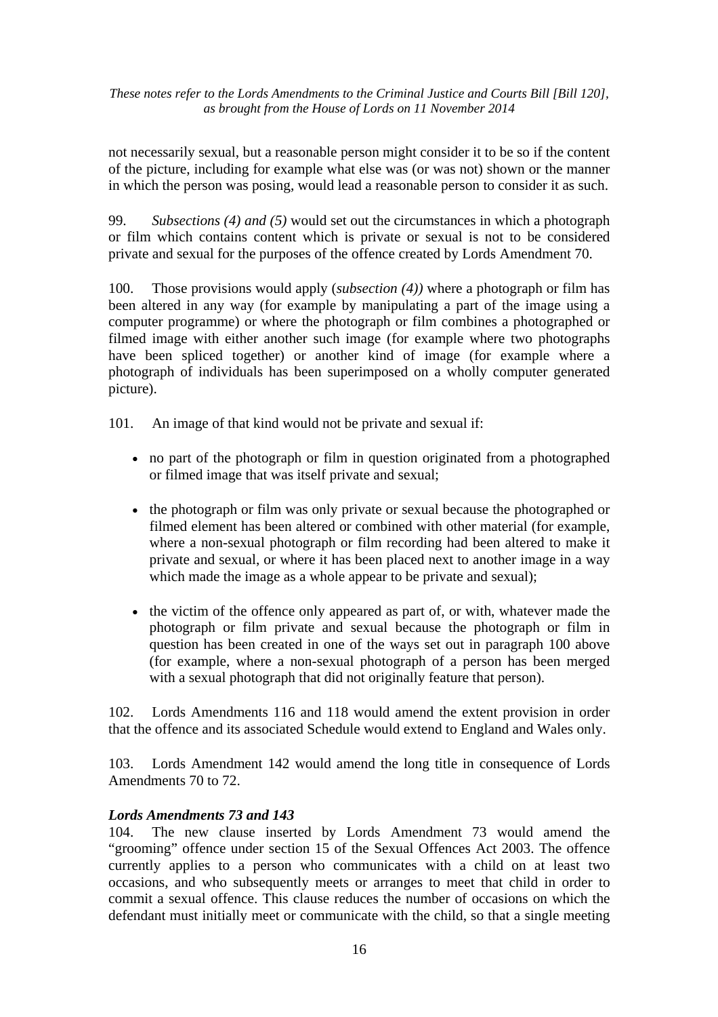not necessarily sexual, but a reasonable person might consider it to be so if the content of the picture, including for example what else was (or was not) shown or the manner in which the person was posing, would lead a reasonable person to consider it as such.

99. *Subsections (4) and (5)* would set out the circumstances in which a photograph or film which contains content which is private or sexual is not to be considered private and sexual for the purposes of the offence created by Lords Amendment 70.

100. Those provisions would apply (*subsection (4))* where a photograph or film has been altered in any way (for example by manipulating a part of the image using a computer programme) or where the photograph or film combines a photographed or filmed image with either another such image (for example where two photographs have been spliced together) or another kind of image (for example where a photograph of individuals has been superimposed on a wholly computer generated picture).

101. An image of that kind would not be private and sexual if:

- no part of the photograph or film in question originated from a photographed or filmed image that was itself private and sexual;
- the photograph or film was only private or sexual because the photographed or filmed element has been altered or combined with other material (for example, where a non-sexual photograph or film recording had been altered to make it private and sexual, or where it has been placed next to another image in a way which made the image as a whole appear to be private and sexual);
- the victim of the offence only appeared as part of, or with, whatever made the photograph or film private and sexual because the photograph or film in question has been created in one of the ways set out in paragraph 100 above (for example, where a non-sexual photograph of a person has been merged with a sexual photograph that did not originally feature that person).

102. Lords Amendments 116 and 118 would amend the extent provision in order that the offence and its associated Schedule would extend to England and Wales only.

103. Lords Amendment 142 would amend the long title in consequence of Lords Amendments 70 to 72.

#### *Lords Amendments 73 and 143*

104. The new clause inserted by Lords Amendment 73 would amend the "grooming" offence under section 15 of the Sexual Offences Act 2003. The offence currently applies to a person who communicates with a child on at least two occasions, and who subsequently meets or arranges to meet that child in order to commit a sexual offence. This clause reduces the number of occasions on which the defendant must initially meet or communicate with the child, so that a single meeting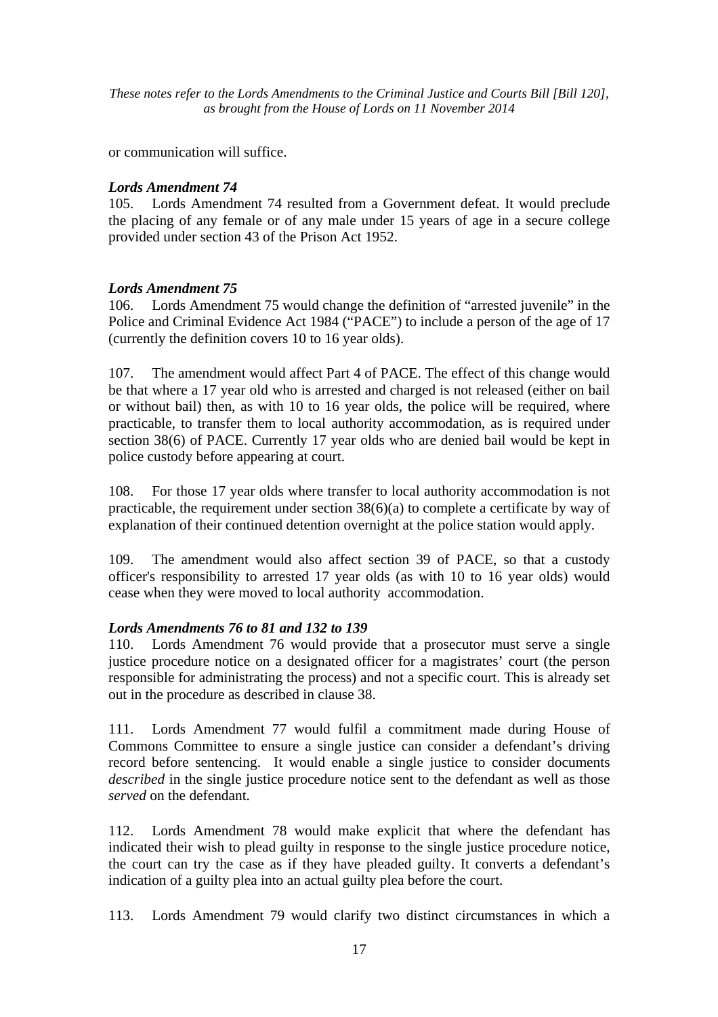or communication will suffice.

## *Lords Amendment 74*

105. Lords Amendment 74 resulted from a Government defeat. It would preclude the placing of any female or of any male under 15 years of age in a secure college provided under section 43 of the Prison Act 1952.

## *Lords Amendment 75*

106. Lords Amendment 75 would change the definition of "arrested juvenile" in the Police and Criminal Evidence Act 1984 ("PACE") to include a person of the age of 17 (currently the definition covers 10 to 16 year olds).

107. The amendment would affect Part 4 of PACE. The effect of this change would be that where a 17 year old who is arrested and charged is not released (either on bail or without bail) then, as with 10 to 16 year olds, the police will be required, where practicable, to transfer them to local authority accommodation, as is required under section 38(6) of PACE. Currently 17 year olds who are denied bail would be kept in police custody before appearing at court.

108. For those 17 year olds where transfer to local authority accommodation is not practicable, the requirement under section 38(6)(a) to complete a certificate by way of explanation of their continued detention overnight at the police station would apply.

109. The amendment would also affect section 39 of PACE, so that a custody officer's responsibility to arrested 17 year olds (as with 10 to 16 year olds) would cease when they were moved to local authority accommodation.

## *Lords Amendments 76 to 81 and 132 to 139*

110. Lords Amendment 76 would provide that a prosecutor must serve a single justice procedure notice on a designated officer for a magistrates' court (the person responsible for administrating the process) and not a specific court. This is already set out in the procedure as described in clause 38.

111. Lords Amendment 77 would fulfil a commitment made during House of Commons Committee to ensure a single justice can consider a defendant's driving record before sentencing. It would enable a single justice to consider documents *described* in the single justice procedure notice sent to the defendant as well as those *served* on the defendant.

112. Lords Amendment 78 would make explicit that where the defendant has indicated their wish to plead guilty in response to the single justice procedure notice, the court can try the case as if they have pleaded guilty. It converts a defendant's indication of a guilty plea into an actual guilty plea before the court.

113. Lords Amendment 79 would clarify two distinct circumstances in which a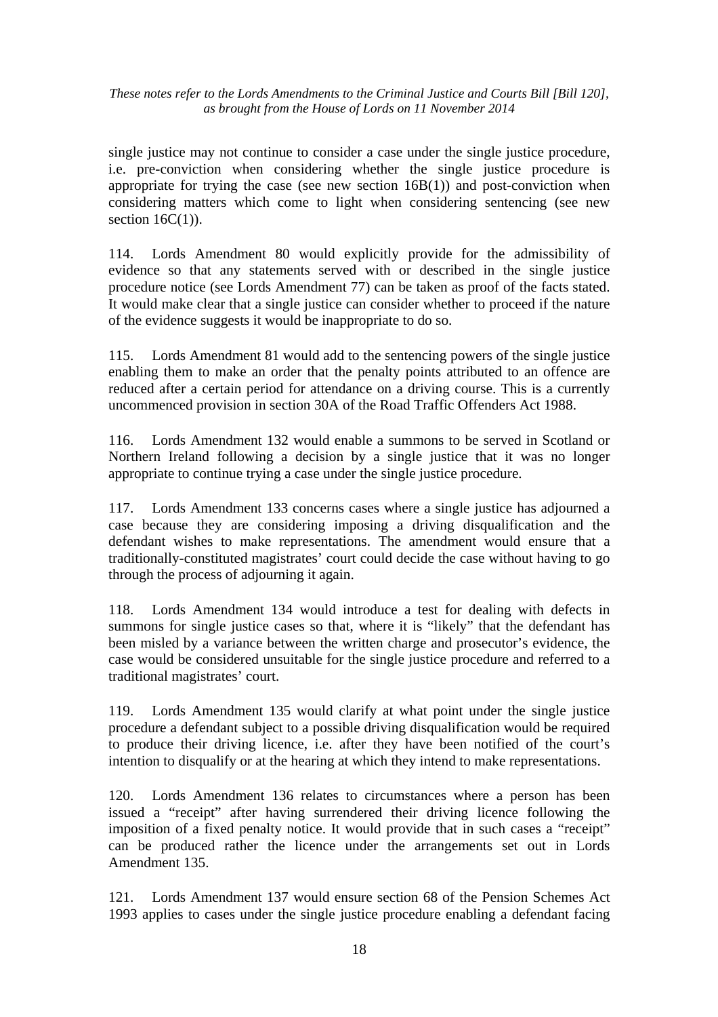single justice may not continue to consider a case under the single justice procedure, i.e. pre-conviction when considering whether the single justice procedure is appropriate for trying the case (see new section 16B(1)) and post-conviction when considering matters which come to light when considering sentencing (see new section  $16C(1)$ ).

114. Lords Amendment 80 would explicitly provide for the admissibility of evidence so that any statements served with or described in the single justice procedure notice (see Lords Amendment 77) can be taken as proof of the facts stated. It would make clear that a single justice can consider whether to proceed if the nature of the evidence suggests it would be inappropriate to do so.

115. Lords Amendment 81 would add to the sentencing powers of the single justice enabling them to make an order that the penalty points attributed to an offence are reduced after a certain period for attendance on a driving course. This is a currently uncommenced provision in section 30A of the Road Traffic Offenders Act 1988.

116. Lords Amendment 132 would enable a summons to be served in Scotland or Northern Ireland following a decision by a single justice that it was no longer appropriate to continue trying a case under the single justice procedure.

117. Lords Amendment 133 concerns cases where a single justice has adjourned a case because they are considering imposing a driving disqualification and the defendant wishes to make representations. The amendment would ensure that a traditionally-constituted magistrates' court could decide the case without having to go through the process of adjourning it again.

118. Lords Amendment 134 would introduce a test for dealing with defects in summons for single justice cases so that, where it is "likely" that the defendant has been misled by a variance between the written charge and prosecutor's evidence, the case would be considered unsuitable for the single justice procedure and referred to a traditional magistrates' court.

119. Lords Amendment 135 would clarify at what point under the single justice procedure a defendant subject to a possible driving disqualification would be required to produce their driving licence, i.e. after they have been notified of the court's intention to disqualify or at the hearing at which they intend to make representations.

120. Lords Amendment 136 relates to circumstances where a person has been issued a "receipt" after having surrendered their driving licence following the imposition of a fixed penalty notice. It would provide that in such cases a "receipt" can be produced rather the licence under the arrangements set out in Lords Amendment 135.

121. Lords Amendment 137 would ensure section 68 of the Pension Schemes Act 1993 applies to cases under the single justice procedure enabling a defendant facing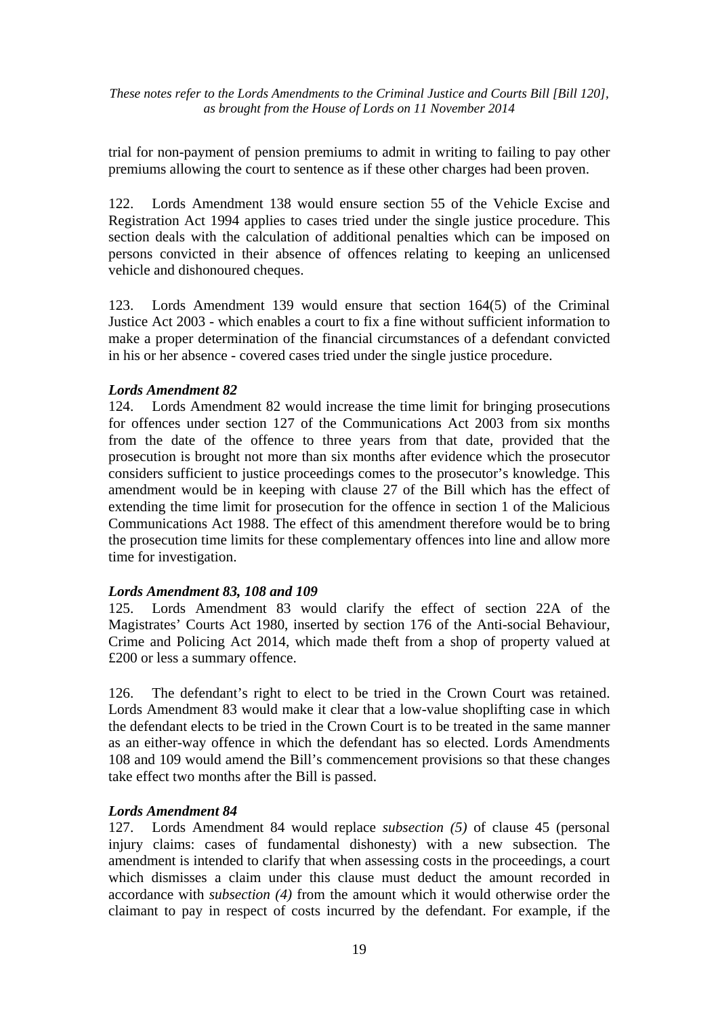trial for non-payment of pension premiums to admit in writing to failing to pay other premiums allowing the court to sentence as if these other charges had been proven.

122. Lords Amendment 138 would ensure section 55 of the Vehicle Excise and Registration Act 1994 applies to cases tried under the single justice procedure. This section deals with the calculation of additional penalties which can be imposed on persons convicted in their absence of offences relating to keeping an unlicensed vehicle and dishonoured cheques.

123. Lords Amendment 139 would ensure that section 164(5) of the Criminal Justice Act 2003 - which enables a court to fix a fine without sufficient information to make a proper determination of the financial circumstances of a defendant convicted in his or her absence - covered cases tried under the single justice procedure.

#### *Lords Amendment 82*

124. Lords Amendment 82 would increase the time limit for bringing prosecutions for offences under section 127 of the Communications Act 2003 from six months from the date of the offence to three years from that date, provided that the prosecution is brought not more than six months after evidence which the prosecutor considers sufficient to justice proceedings comes to the prosecutor's knowledge. This amendment would be in keeping with clause 27 of the Bill which has the effect of extending the time limit for prosecution for the offence in section 1 of the Malicious Communications Act 1988. The effect of this amendment therefore would be to bring the prosecution time limits for these complementary offences into line and allow more time for investigation.

#### *Lords Amendment 83, 108 and 109*

125. Lords Amendment 83 would clarify the effect of section 22A of the Magistrates' Courts Act 1980, inserted by section 176 of the Anti-social Behaviour, Crime and Policing Act 2014, which made theft from a shop of property valued at £200 or less a summary offence.

126. The defendant's right to elect to be tried in the Crown Court was retained. Lords Amendment 83 would make it clear that a low-value shoplifting case in which the defendant elects to be tried in the Crown Court is to be treated in the same manner as an either-way offence in which the defendant has so elected. Lords Amendments 108 and 109 would amend the Bill's commencement provisions so that these changes take effect two months after the Bill is passed.

#### *Lords Amendment 84*

127. Lords Amendment 84 would replace *subsection (5)* of clause 45 (personal injury claims: cases of fundamental dishonesty) with a new subsection. The amendment is intended to clarify that when assessing costs in the proceedings, a court which dismisses a claim under this clause must deduct the amount recorded in accordance with *subsection (4)* from the amount which it would otherwise order the claimant to pay in respect of costs incurred by the defendant. For example, if the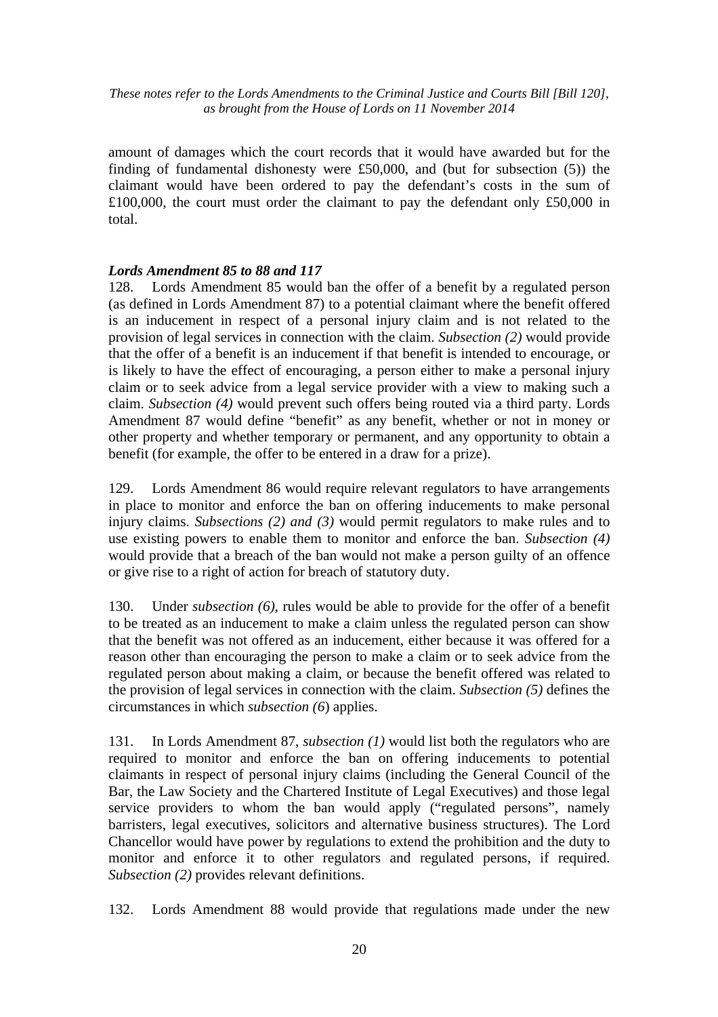amount of damages which the court records that it would have awarded but for the finding of fundamental dishonesty were £50,000, and (but for subsection (5)) the claimant would have been ordered to pay the defendant's costs in the sum of £100,000, the court must order the claimant to pay the defendant only £50,000 in total.

## *Lords Amendment 85 to 88 and 117*

128. Lords Amendment 85 would ban the offer of a benefit by a regulated person (as defined in Lords Amendment 87) to a potential claimant where the benefit offered is an inducement in respect of a personal injury claim and is not related to the provision of legal services in connection with the claim. *Subsection (2)* would provide that the offer of a benefit is an inducement if that benefit is intended to encourage, or is likely to have the effect of encouraging, a person either to make a personal injury claim or to seek advice from a legal service provider with a view to making such a claim. *Subsection (4)* would prevent such offers being routed via a third party. Lords Amendment 87 would define "benefit" as any benefit, whether or not in money or other property and whether temporary or permanent, and any opportunity to obtain a benefit (for example, the offer to be entered in a draw for a prize).

129. Lords Amendment 86 would require relevant regulators to have arrangements in place to monitor and enforce the ban on offering inducements to make personal injury claims. *Subsections (2) and (3)* would permit regulators to make rules and to use existing powers to enable them to monitor and enforce the ban. *Subsection (4)* would provide that a breach of the ban would not make a person guilty of an offence or give rise to a right of action for breach of statutory duty.

130. Under *subsection (6),* rules would be able to provide for the offer of a benefit to be treated as an inducement to make a claim unless the regulated person can show that the benefit was not offered as an inducement, either because it was offered for a reason other than encouraging the person to make a claim or to seek advice from the regulated person about making a claim, or because the benefit offered was related to the provision of legal services in connection with the claim. *Subsection (5)* defines the circumstances in which *subsection (6*) applies.

131. In Lords Amendment 87, *subsection (1)* would list both the regulators who are required to monitor and enforce the ban on offering inducements to potential claimants in respect of personal injury claims (including the General Council of the Bar, the Law Society and the Chartered Institute of Legal Executives) and those legal service providers to whom the ban would apply ("regulated persons", namely barristers, legal executives, solicitors and alternative business structures). The Lord Chancellor would have power by regulations to extend the prohibition and the duty to monitor and enforce it to other regulators and regulated persons, if required. *Subsection (2)* provides relevant definitions.

132. Lords Amendment 88 would provide that regulations made under the new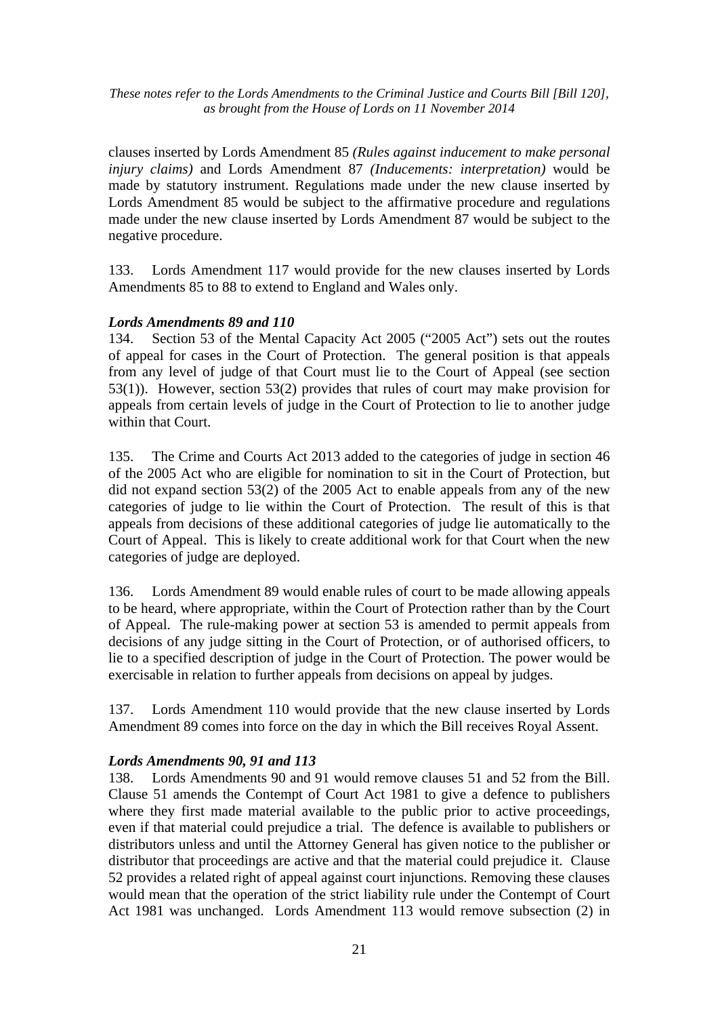clauses inserted by Lords Amendment 85 *(Rules against inducement to make personal injury claims)* and Lords Amendment 87 *(Inducements: interpretation)* would be made by statutory instrument. Regulations made under the new clause inserted by Lords Amendment 85 would be subject to the affirmative procedure and regulations made under the new clause inserted by Lords Amendment 87 would be subject to the negative procedure.

133. Lords Amendment 117 would provide for the new clauses inserted by Lords Amendments 85 to 88 to extend to England and Wales only.

#### *Lords Amendments 89 and 110*

134. Section 53 of the Mental Capacity Act 2005 ("2005 Act") sets out the routes of appeal for cases in the Court of Protection. The general position is that appeals from any level of judge of that Court must lie to the Court of Appeal (see section 53(1)). However, section 53(2) provides that rules of court may make provision for appeals from certain levels of judge in the Court of Protection to lie to another judge within that Court.

135. The Crime and Courts Act 2013 added to the categories of judge in section 46 of the 2005 Act who are eligible for nomination to sit in the Court of Protection, but did not expand section 53(2) of the 2005 Act to enable appeals from any of the new categories of judge to lie within the Court of Protection. The result of this is that appeals from decisions of these additional categories of judge lie automatically to the Court of Appeal. This is likely to create additional work for that Court when the new categories of judge are deployed.

136. Lords Amendment 89 would enable rules of court to be made allowing appeals to be heard, where appropriate, within the Court of Protection rather than by the Court of Appeal. The rule-making power at section 53 is amended to permit appeals from decisions of any judge sitting in the Court of Protection, or of authorised officers, to lie to a specified description of judge in the Court of Protection. The power would be exercisable in relation to further appeals from decisions on appeal by judges.

137. Lords Amendment 110 would provide that the new clause inserted by Lords Amendment 89 comes into force on the day in which the Bill receives Royal Assent.

## *Lords Amendments 90, 91 and 113*

138. Lords Amendments 90 and 91 would remove clauses 51 and 52 from the Bill. Clause 51 amends the Contempt of Court Act 1981 to give a defence to publishers where they first made material available to the public prior to active proceedings, even if that material could prejudice a trial. The defence is available to publishers or distributors unless and until the Attorney General has given notice to the publisher or distributor that proceedings are active and that the material could prejudice it. Clause 52 provides a related right of appeal against court injunctions. Removing these clauses would mean that the operation of the strict liability rule under the Contempt of Court Act 1981 was unchanged. Lords Amendment 113 would remove subsection (2) in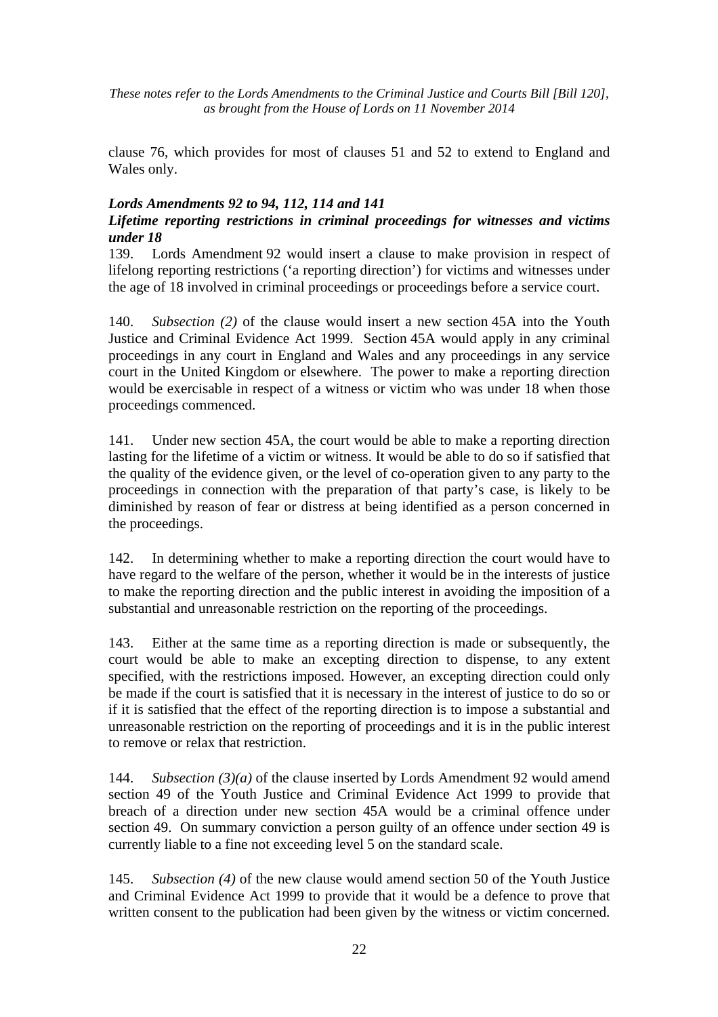clause 76, which provides for most of clauses 51 and 52 to extend to England and Wales only.

## *Lords Amendments 92 to 94, 112, 114 and 141*

## *Lifetime reporting restrictions in criminal proceedings for witnesses and victims under 18*

139. Lords Amendment 92 would insert a clause to make provision in respect of lifelong reporting restrictions ('a reporting direction') for victims and witnesses under the age of 18 involved in criminal proceedings or proceedings before a service court.

140. *Subsection (2)* of the clause would insert a new section 45A into the Youth Justice and Criminal Evidence Act 1999. Section 45A would apply in any criminal proceedings in any court in England and Wales and any proceedings in any service court in the United Kingdom or elsewhere. The power to make a reporting direction would be exercisable in respect of a witness or victim who was under 18 when those proceedings commenced.

141. Under new section 45A, the court would be able to make a reporting direction lasting for the lifetime of a victim or witness. It would be able to do so if satisfied that the quality of the evidence given, or the level of co-operation given to any party to the proceedings in connection with the preparation of that party's case, is likely to be diminished by reason of fear or distress at being identified as a person concerned in the proceedings.

142. In determining whether to make a reporting direction the court would have to have regard to the welfare of the person, whether it would be in the interests of justice to make the reporting direction and the public interest in avoiding the imposition of a substantial and unreasonable restriction on the reporting of the proceedings.

143. Either at the same time as a reporting direction is made or subsequently, the court would be able to make an excepting direction to dispense, to any extent specified, with the restrictions imposed. However, an excepting direction could only be made if the court is satisfied that it is necessary in the interest of justice to do so or if it is satisfied that the effect of the reporting direction is to impose a substantial and unreasonable restriction on the reporting of proceedings and it is in the public interest to remove or relax that restriction.

144. *Subsection (3)(a)* of the clause inserted by Lords Amendment 92 would amend section 49 of the Youth Justice and Criminal Evidence Act 1999 to provide that breach of a direction under new section 45A would be a criminal offence under section 49. On summary conviction a person guilty of an offence under section 49 is currently liable to a fine not exceeding level 5 on the standard scale.

145. *Subsection (4)* of the new clause would amend section 50 of the Youth Justice and Criminal Evidence Act 1999 to provide that it would be a defence to prove that written consent to the publication had been given by the witness or victim concerned.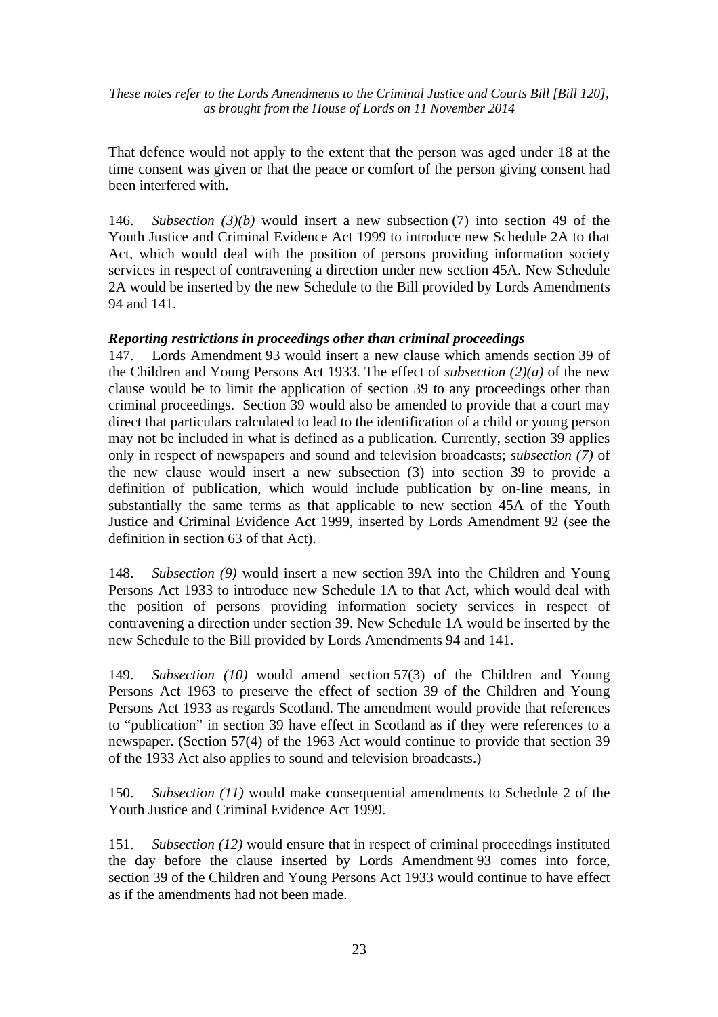That defence would not apply to the extent that the person was aged under 18 at the time consent was given or that the peace or comfort of the person giving consent had been interfered with.

146. *Subsection (3)(b)* would insert a new subsection (7) into section 49 of the Youth Justice and Criminal Evidence Act 1999 to introduce new Schedule 2A to that Act, which would deal with the position of persons providing information society services in respect of contravening a direction under new section 45A. New Schedule 2A would be inserted by the new Schedule to the Bill provided by Lords Amendments 94 and 141.

#### *Reporting restrictions in proceedings other than criminal proceedings*

147. Lords Amendment 93 would insert a new clause which amends section 39 of the Children and Young Persons Act 1933. The effect of *subsection (2)(a)* of the new clause would be to limit the application of section 39 to any proceedings other than criminal proceedings. Section 39 would also be amended to provide that a court may direct that particulars calculated to lead to the identification of a child or young person may not be included in what is defined as a publication. Currently, section 39 applies only in respect of newspapers and sound and television broadcasts; *subsection (7)* of the new clause would insert a new subsection (3) into section 39 to provide a definition of publication, which would include publication by on-line means, in substantially the same terms as that applicable to new section 45A of the Youth Justice and Criminal Evidence Act 1999, inserted by Lords Amendment 92 (see the definition in section 63 of that Act).

148. *Subsection (9)* would insert a new section 39A into the Children and Young Persons Act 1933 to introduce new Schedule 1A to that Act, which would deal with the position of persons providing information society services in respect of contravening a direction under section 39. New Schedule 1A would be inserted by the new Schedule to the Bill provided by Lords Amendments 94 and 141.

149. *Subsection (10)* would amend section 57(3) of the Children and Young Persons Act 1963 to preserve the effect of section 39 of the Children and Young Persons Act 1933 as regards Scotland. The amendment would provide that references to "publication" in section 39 have effect in Scotland as if they were references to a newspaper. (Section 57(4) of the 1963 Act would continue to provide that section 39 of the 1933 Act also applies to sound and television broadcasts.)

150. *Subsection (11)* would make consequential amendments to Schedule 2 of the Youth Justice and Criminal Evidence Act 1999.

151. *Subsection (12)* would ensure that in respect of criminal proceedings instituted the day before the clause inserted by Lords Amendment 93 comes into force, section 39 of the Children and Young Persons Act 1933 would continue to have effect as if the amendments had not been made.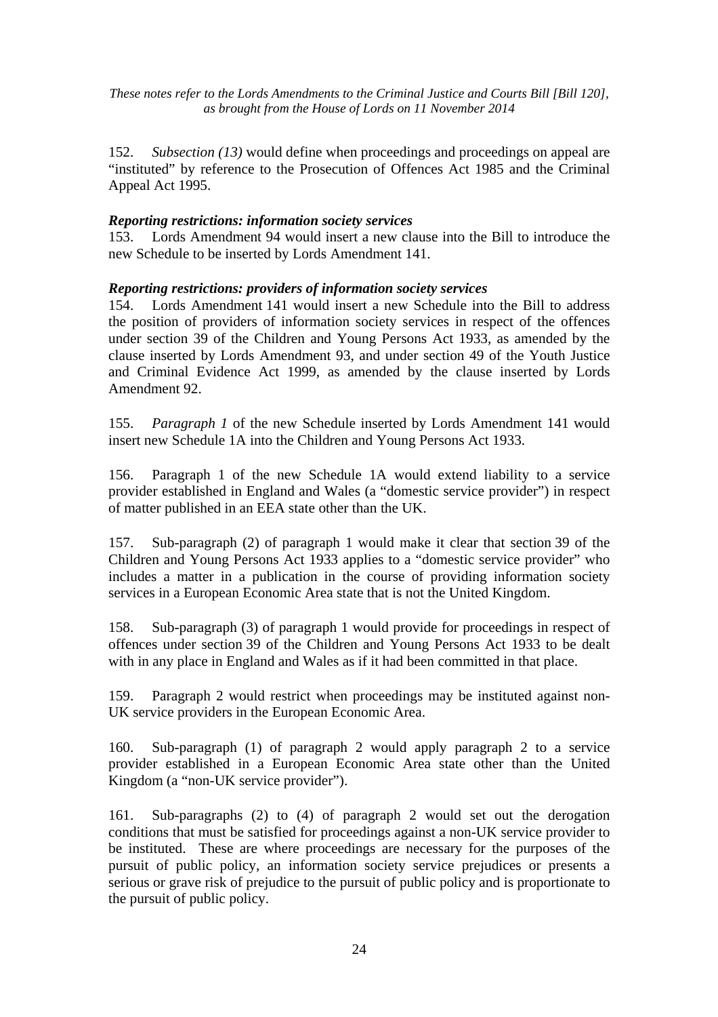152. *Subsection (13)* would define when proceedings and proceedings on appeal are "instituted" by reference to the Prosecution of Offences Act 1985 and the Criminal Appeal Act 1995.

#### *Reporting restrictions: information society services*

153. Lords Amendment 94 would insert a new clause into the Bill to introduce the new Schedule to be inserted by Lords Amendment 141.

#### *Reporting restrictions: providers of information society services*

154. Lords Amendment 141 would insert a new Schedule into the Bill to address the position of providers of information society services in respect of the offences under section 39 of the Children and Young Persons Act 1933, as amended by the clause inserted by Lords Amendment 93, and under section 49 of the Youth Justice and Criminal Evidence Act 1999, as amended by the clause inserted by Lords Amendment 92.

155. *Paragraph 1* of the new Schedule inserted by Lords Amendment 141 would insert new Schedule 1A into the Children and Young Persons Act 1933.

156. Paragraph 1 of the new Schedule 1A would extend liability to a service provider established in England and Wales (a "domestic service provider") in respect of matter published in an EEA state other than the UK.

157. Sub-paragraph (2) of paragraph 1 would make it clear that section 39 of the Children and Young Persons Act 1933 applies to a "domestic service provider" who includes a matter in a publication in the course of providing information society services in a European Economic Area state that is not the United Kingdom.

158. Sub-paragraph (3) of paragraph 1 would provide for proceedings in respect of offences under section 39 of the Children and Young Persons Act 1933 to be dealt with in any place in England and Wales as if it had been committed in that place.

159. Paragraph 2 would restrict when proceedings may be instituted against non-UK service providers in the European Economic Area.

160. Sub-paragraph (1) of paragraph 2 would apply paragraph 2 to a service provider established in a European Economic Area state other than the United Kingdom (a "non-UK service provider").

161. Sub-paragraphs (2) to (4) of paragraph 2 would set out the derogation conditions that must be satisfied for proceedings against a non-UK service provider to be instituted. These are where proceedings are necessary for the purposes of the pursuit of public policy, an information society service prejudices or presents a serious or grave risk of prejudice to the pursuit of public policy and is proportionate to the pursuit of public policy.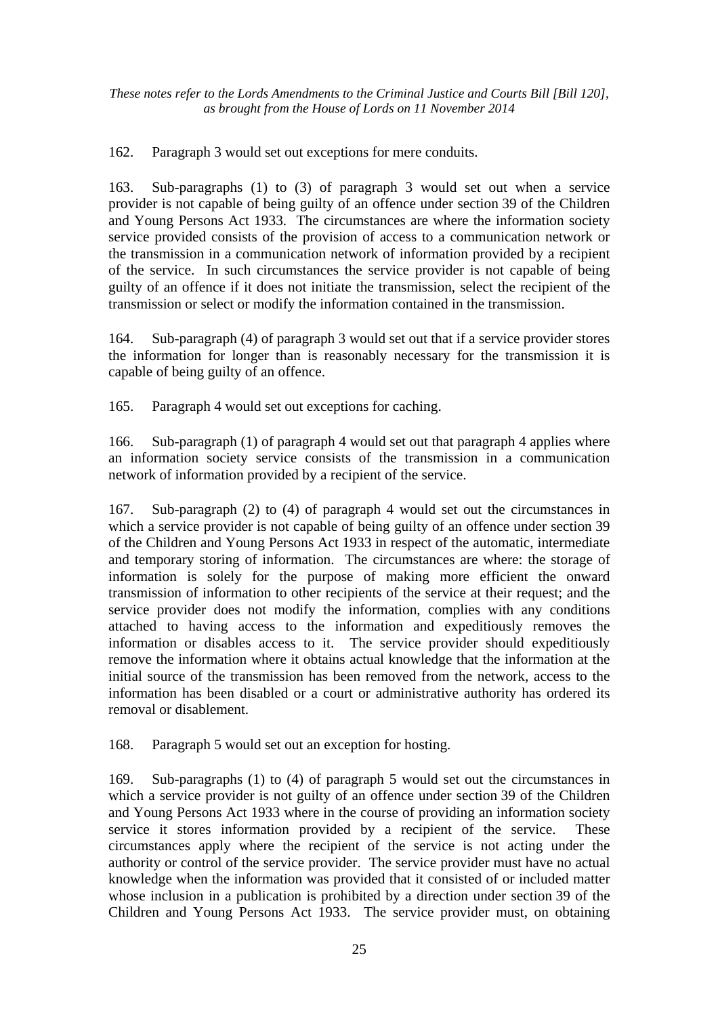162. Paragraph 3 would set out exceptions for mere conduits.

163. Sub-paragraphs (1) to (3) of paragraph 3 would set out when a service provider is not capable of being guilty of an offence under section 39 of the Children and Young Persons Act 1933. The circumstances are where the information society service provided consists of the provision of access to a communication network or the transmission in a communication network of information provided by a recipient of the service. In such circumstances the service provider is not capable of being guilty of an offence if it does not initiate the transmission, select the recipient of the transmission or select or modify the information contained in the transmission.

164. Sub-paragraph (4) of paragraph 3 would set out that if a service provider stores the information for longer than is reasonably necessary for the transmission it is capable of being guilty of an offence.

165. Paragraph 4 would set out exceptions for caching.

166. Sub-paragraph (1) of paragraph 4 would set out that paragraph 4 applies where an information society service consists of the transmission in a communication network of information provided by a recipient of the service.

167. Sub-paragraph (2) to (4) of paragraph 4 would set out the circumstances in which a service provider is not capable of being guilty of an offence under section 39 of the Children and Young Persons Act 1933 in respect of the automatic, intermediate and temporary storing of information. The circumstances are where: the storage of information is solely for the purpose of making more efficient the onward transmission of information to other recipients of the service at their request; and the service provider does not modify the information, complies with any conditions attached to having access to the information and expeditiously removes the information or disables access to it. The service provider should expeditiously remove the information where it obtains actual knowledge that the information at the initial source of the transmission has been removed from the network, access to the information has been disabled or a court or administrative authority has ordered its removal or disablement.

168. Paragraph 5 would set out an exception for hosting.

169. Sub-paragraphs (1) to (4) of paragraph 5 would set out the circumstances in which a service provider is not guilty of an offence under section 39 of the Children and Young Persons Act 1933 where in the course of providing an information society service it stores information provided by a recipient of the service. These circumstances apply where the recipient of the service is not acting under the authority or control of the service provider. The service provider must have no actual knowledge when the information was provided that it consisted of or included matter whose inclusion in a publication is prohibited by a direction under section 39 of the Children and Young Persons Act 1933. The service provider must, on obtaining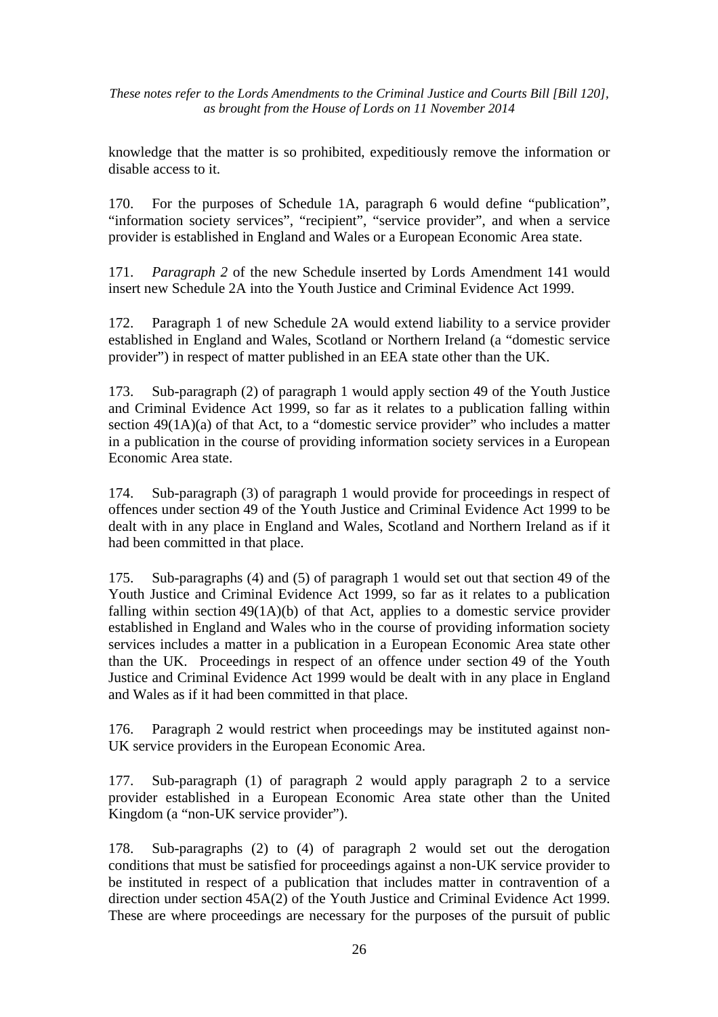knowledge that the matter is so prohibited, expeditiously remove the information or disable access to it.

170. For the purposes of Schedule 1A, paragraph 6 would define "publication", "information society services", "recipient", "service provider", and when a service provider is established in England and Wales or a European Economic Area state.

171. *Paragraph 2* of the new Schedule inserted by Lords Amendment 141 would insert new Schedule 2A into the Youth Justice and Criminal Evidence Act 1999.

172. Paragraph 1 of new Schedule 2A would extend liability to a service provider established in England and Wales, Scotland or Northern Ireland (a "domestic service provider") in respect of matter published in an EEA state other than the UK.

173. Sub-paragraph (2) of paragraph 1 would apply section 49 of the Youth Justice and Criminal Evidence Act 1999, so far as it relates to a publication falling within section 49(1A)(a) of that Act, to a "domestic service provider" who includes a matter in a publication in the course of providing information society services in a European Economic Area state.

174. Sub-paragraph (3) of paragraph 1 would provide for proceedings in respect of offences under section 49 of the Youth Justice and Criminal Evidence Act 1999 to be dealt with in any place in England and Wales, Scotland and Northern Ireland as if it had been committed in that place.

175. Sub-paragraphs (4) and (5) of paragraph 1 would set out that section 49 of the Youth Justice and Criminal Evidence Act 1999, so far as it relates to a publication falling within section 49(1A)(b) of that Act, applies to a domestic service provider established in England and Wales who in the course of providing information society services includes a matter in a publication in a European Economic Area state other than the UK. Proceedings in respect of an offence under section 49 of the Youth Justice and Criminal Evidence Act 1999 would be dealt with in any place in England and Wales as if it had been committed in that place.

176. Paragraph 2 would restrict when proceedings may be instituted against non-UK service providers in the European Economic Area.

177. Sub-paragraph (1) of paragraph 2 would apply paragraph 2 to a service provider established in a European Economic Area state other than the United Kingdom (a "non-UK service provider").

178. Sub-paragraphs (2) to (4) of paragraph 2 would set out the derogation conditions that must be satisfied for proceedings against a non-UK service provider to be instituted in respect of a publication that includes matter in contravention of a direction under section 45A(2) of the Youth Justice and Criminal Evidence Act 1999. These are where proceedings are necessary for the purposes of the pursuit of public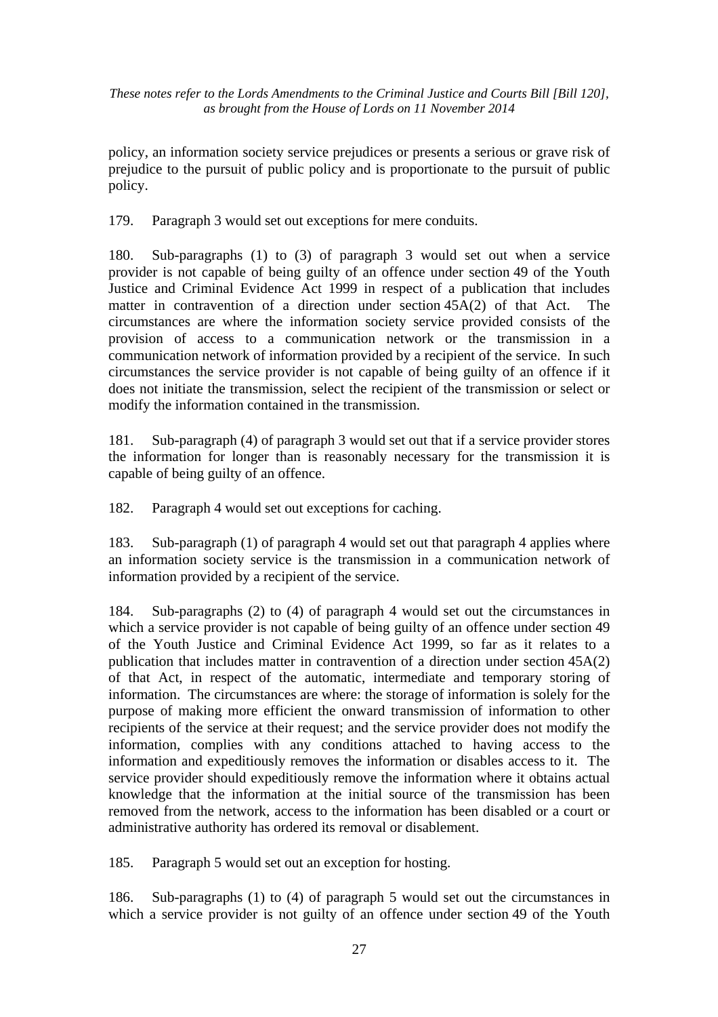policy, an information society service prejudices or presents a serious or grave risk of prejudice to the pursuit of public policy and is proportionate to the pursuit of public policy.

179. Paragraph 3 would set out exceptions for mere conduits.

180. Sub-paragraphs (1) to (3) of paragraph 3 would set out when a service provider is not capable of being guilty of an offence under section 49 of the Youth Justice and Criminal Evidence Act 1999 in respect of a publication that includes matter in contravention of a direction under section 45A(2) of that Act. The circumstances are where the information society service provided consists of the provision of access to a communication network or the transmission in a communication network of information provided by a recipient of the service. In such circumstances the service provider is not capable of being guilty of an offence if it does not initiate the transmission, select the recipient of the transmission or select or modify the information contained in the transmission.

181. Sub-paragraph (4) of paragraph 3 would set out that if a service provider stores the information for longer than is reasonably necessary for the transmission it is capable of being guilty of an offence.

182. Paragraph 4 would set out exceptions for caching.

183. Sub-paragraph (1) of paragraph 4 would set out that paragraph 4 applies where an information society service is the transmission in a communication network of information provided by a recipient of the service.

184. Sub-paragraphs (2) to (4) of paragraph 4 would set out the circumstances in which a service provider is not capable of being guilty of an offence under section 49 of the Youth Justice and Criminal Evidence Act 1999, so far as it relates to a publication that includes matter in contravention of a direction under section 45A(2) of that Act, in respect of the automatic, intermediate and temporary storing of information. The circumstances are where: the storage of information is solely for the purpose of making more efficient the onward transmission of information to other recipients of the service at their request; and the service provider does not modify the information, complies with any conditions attached to having access to the information and expeditiously removes the information or disables access to it. The service provider should expeditiously remove the information where it obtains actual knowledge that the information at the initial source of the transmission has been removed from the network, access to the information has been disabled or a court or administrative authority has ordered its removal or disablement.

185. Paragraph 5 would set out an exception for hosting.

186. Sub-paragraphs (1) to (4) of paragraph 5 would set out the circumstances in which a service provider is not guilty of an offence under section 49 of the Youth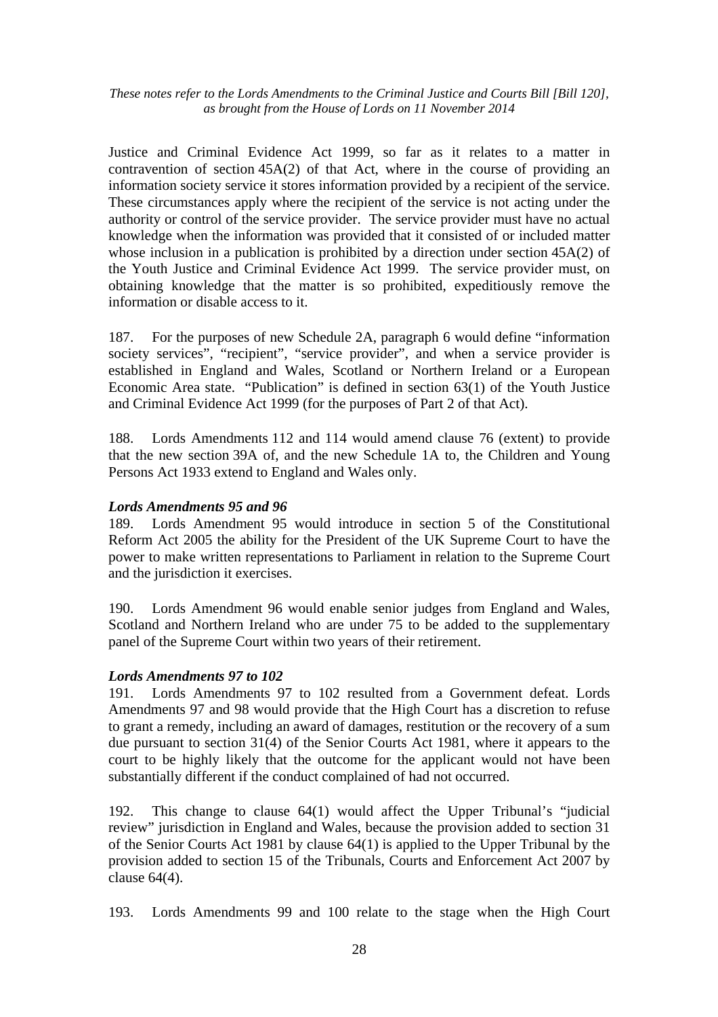Justice and Criminal Evidence Act 1999, so far as it relates to a matter in contravention of section 45A(2) of that Act, where in the course of providing an information society service it stores information provided by a recipient of the service. These circumstances apply where the recipient of the service is not acting under the authority or control of the service provider. The service provider must have no actual knowledge when the information was provided that it consisted of or included matter whose inclusion in a publication is prohibited by a direction under section 45A(2) of the Youth Justice and Criminal Evidence Act 1999. The service provider must, on obtaining knowledge that the matter is so prohibited, expeditiously remove the information or disable access to it.

187. For the purposes of new Schedule 2A, paragraph 6 would define "information society services", "recipient", "service provider", and when a service provider is established in England and Wales, Scotland or Northern Ireland or a European Economic Area state. "Publication" is defined in section 63(1) of the Youth Justice and Criminal Evidence Act 1999 (for the purposes of Part 2 of that Act).

188. Lords Amendments 112 and 114 would amend clause 76 (extent) to provide that the new section 39A of, and the new Schedule 1A to, the Children and Young Persons Act 1933 extend to England and Wales only.

#### *Lords Amendments 95 and 96*

189. Lords Amendment 95 would introduce in section 5 of the Constitutional Reform Act 2005 the ability for the President of the UK Supreme Court to have the power to make written representations to Parliament in relation to the Supreme Court and the jurisdiction it exercises.

190. Lords Amendment 96 would enable senior judges from England and Wales, Scotland and Northern Ireland who are under 75 to be added to the supplementary panel of the Supreme Court within two years of their retirement.

#### *Lords Amendments 97 to 102*

191. Lords Amendments 97 to 102 resulted from a Government defeat. Lords Amendments 97 and 98 would provide that the High Court has a discretion to refuse to grant a remedy, including an award of damages, restitution or the recovery of a sum due pursuant to section 31(4) of the Senior Courts Act 1981, where it appears to the court to be highly likely that the outcome for the applicant would not have been substantially different if the conduct complained of had not occurred.

192. This change to clause 64(1) would affect the Upper Tribunal's "judicial review" jurisdiction in England and Wales, because the provision added to section 31 of the Senior Courts Act 1981 by clause 64(1) is applied to the Upper Tribunal by the provision added to section 15 of the Tribunals, Courts and Enforcement Act 2007 by clause 64(4).

193. Lords Amendments 99 and 100 relate to the stage when the High Court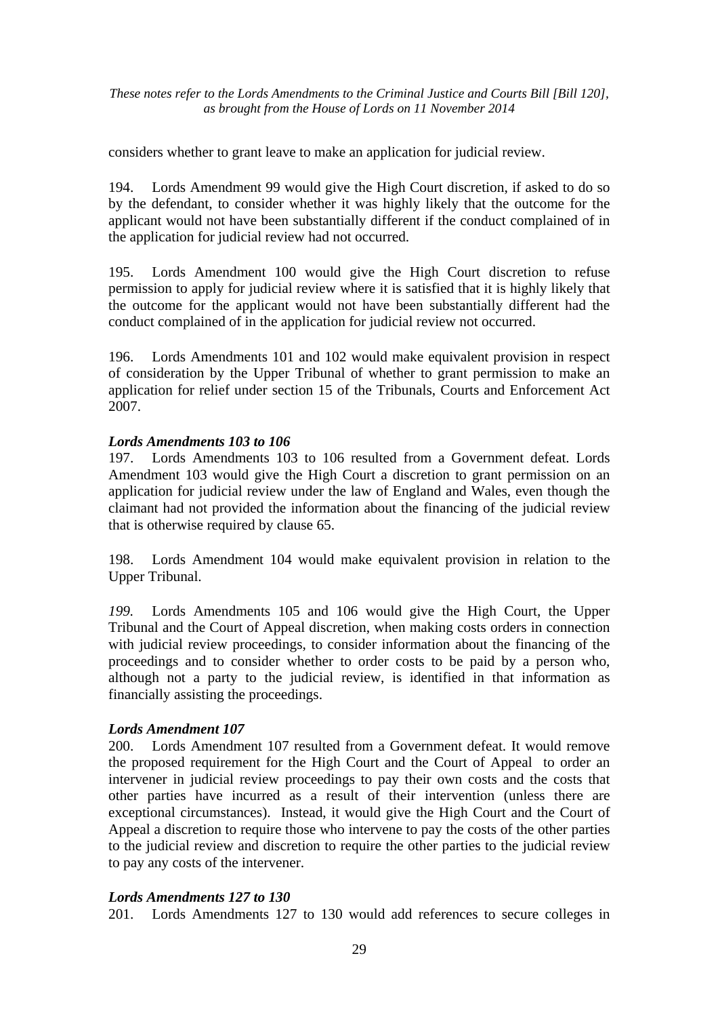considers whether to grant leave to make an application for judicial review.

194. Lords Amendment 99 would give the High Court discretion, if asked to do so by the defendant, to consider whether it was highly likely that the outcome for the applicant would not have been substantially different if the conduct complained of in the application for judicial review had not occurred.

195. Lords Amendment 100 would give the High Court discretion to refuse permission to apply for judicial review where it is satisfied that it is highly likely that the outcome for the applicant would not have been substantially different had the conduct complained of in the application for judicial review not occurred.

196. Lords Amendments 101 and 102 would make equivalent provision in respect of consideration by the Upper Tribunal of whether to grant permission to make an application for relief under section 15 of the Tribunals, Courts and Enforcement Act 2007.

#### *Lords Amendments 103 to 106*

197. Lords Amendments 103 to 106 resulted from a Government defeat. Lords Amendment 103 would give the High Court a discretion to grant permission on an application for judicial review under the law of England and Wales, even though the claimant had not provided the information about the financing of the judicial review that is otherwise required by clause 65.

198. Lords Amendment 104 would make equivalent provision in relation to the Upper Tribunal.

*199.* Lords Amendments 105 and 106 would give the High Court, the Upper Tribunal and the Court of Appeal discretion, when making costs orders in connection with judicial review proceedings, to consider information about the financing of the proceedings and to consider whether to order costs to be paid by a person who, although not a party to the judicial review, is identified in that information as financially assisting the proceedings.

#### *Lords Amendment 107*

200. Lords Amendment 107 resulted from a Government defeat. It would remove the proposed requirement for the High Court and the Court of Appeal to order an intervener in judicial review proceedings to pay their own costs and the costs that other parties have incurred as a result of their intervention (unless there are exceptional circumstances). Instead, it would give the High Court and the Court of Appeal a discretion to require those who intervene to pay the costs of the other parties to the judicial review and discretion to require the other parties to the judicial review to pay any costs of the intervener.

#### *Lords Amendments 127 to 130*

201. Lords Amendments 127 to 130 would add references to secure colleges in